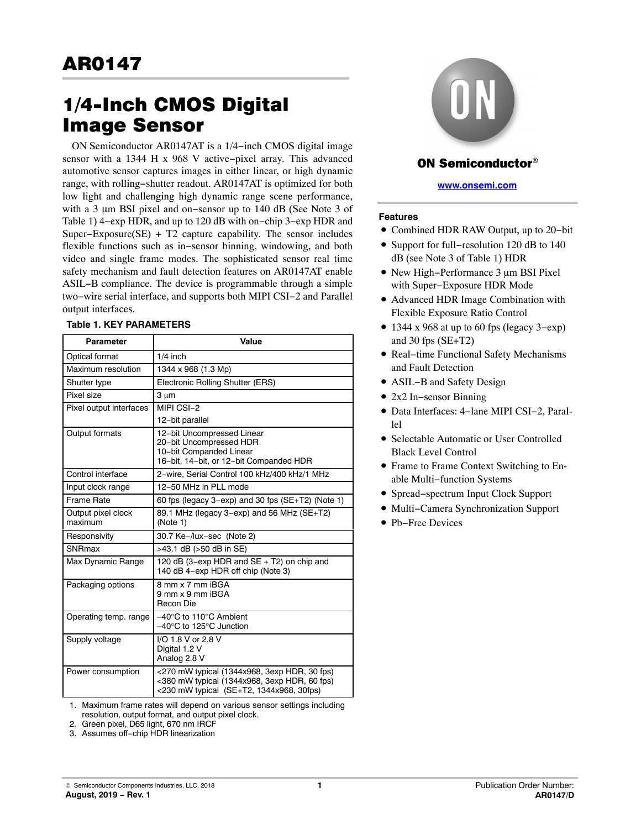# 1/4-Inch CMOS Digital

ON Semiconductor AR0147AT is a 1/4–inch CMOS digital image sensor with a 1344 H x 968 V active−pixel array. This advanced automotive sensor captures images in either linear, or high dynamic range, with rolling−shutter readout. AR0147AT is optimized for both low light and challenging high dynamic range scene performance, with a 3 µm BSI pixel and on–sensor up to 140 dB (See Note 3 of Table 1) 4−exp HDR, and up to 120 dB with on−chip 3−exp HDR and Super−Exposure(SE) + T2 capture capability. The sensor includes flexible functions such as in−sensor binning, windowing, and both video and single frame modes. The sophisticated sensor real time safety mechanism and fault detection features on AR0147AT enable ASIL−B compliance. The device is programmable through a simple two−wire serial interface, and supports both MIPI CSI−2 and Parallel output interfaces.

#### **Table 1. KEY PARAMETERS**

| Parameter                     | Value                                                                                                                                    |
|-------------------------------|------------------------------------------------------------------------------------------------------------------------------------------|
| Optical format                | $1/4$ inch                                                                                                                               |
| Maximum resolution            | 1344 x 968 (1.3 Mp)                                                                                                                      |
| Shutter type                  | Electronic Rolling Shutter (ERS)                                                                                                         |
| Pixel size                    | $3 \mu m$                                                                                                                                |
| Pixel output interfaces       | MIPI CSI-2<br>12-bit parallel                                                                                                            |
| Output formats                | 12-bit Uncompressed Linear<br>20-bit Uncompressed HDR<br>10-bit Companded Linear<br>16-bit, 14-bit, or 12-bit Companded HDR              |
| Control interface             | 2-wire, Serial Control 100 kHz/400 kHz/1 MHz                                                                                             |
| Input clock range             | 12-50 MHz in PLL mode                                                                                                                    |
| <b>Frame Rate</b>             | 60 fps (legacy 3-exp) and 30 fps (SE+T2) (Note 1)                                                                                        |
| Output pixel clock<br>maximum | 89.1 MHz (legacy 3-exp) and 56 MHz (SE+T2)<br>(Note 1)                                                                                   |
| Responsivity                  | 30.7 Ke-/lux-sec (Note 2)                                                                                                                |
| SNRmax                        | >43.1 dB (>50 dB in SE)                                                                                                                  |
| Max Dynamic Range             | 120 dB (3-exp HDR and SE + T2) on chip and<br>140 dB 4-exp HDR off chip (Note 3)                                                         |
| Packaging options             | 8 mm x 7 mm iBGA<br>9 mm x 9 mm iBGA<br>Recon Die                                                                                        |
| Operating temp. range         | $-40^{\circ}$ C to 110 $^{\circ}$ C Ambient<br>$-40^{\circ}$ C to 125 $^{\circ}$ C Junction                                              |
| Supply voltage                | I/O 1.8 V or 2.8 V<br>Digital 1.2 V<br>Analog 2.8 V                                                                                      |
| Power consumption             | <270 mW typical (1344x968, 3exp HDR, 30 fps)<br><380 mW typical (1344x968, 3exp HDR, 60 fps)<br><230 mW typical (SE+T2, 1344x968, 30fps) |

1. Maximum frame rates will depend on various sensor settings including resolution, output format, and output pixel clock.

2. Green pixel, D65 light, 670 nm IRCF

3. Assumes off−chip HDR linearization



# **ON Semiconductor**<sup>®</sup>

**[www.onsemi.com](http://www.onsemi.com/)**

#### **Features**

- Combined HDR RAW Output, up to 20−bit
- Support for full−resolution 120 dB to 140 dB (see Note 3 of Table 1) HDR
- New High-Performance 3 µm BSI Pixel with Super−Exposure HDR Mode
- Advanced HDR Image Combination with Flexible Exposure Ratio Control
- 1344 x 968 at up to 60 fps (legacy 3−exp) and 30 fps (SE+T2)
- Real−time Functional Safety Mechanisms and Fault Detection
- ASIL−B and Safety Design
- 2x2 In−sensor Binning
- Data Interfaces: 4−lane MIPI CSI−2, Paral $l_{\text{Pl}}$
- Selectable Automatic or User Controlled Black Level Control
- Frame to Frame Context Switching to Enable Multi−function Systems
- Spread−spectrum Input Clock Support
- Multi−Camera Synchronization Support
- Pb−Free Devices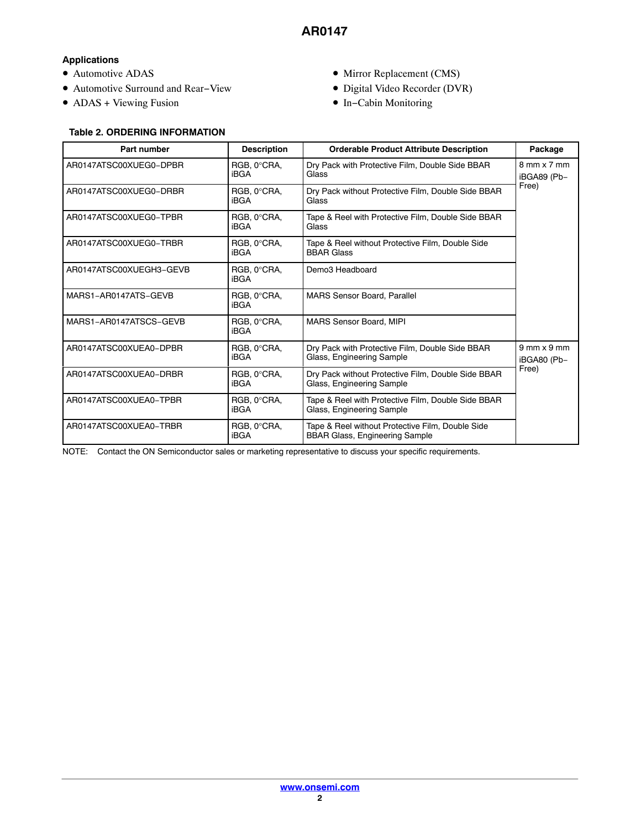# **Applications**

- Automotive ADAS
- Automotive Surround and Rear−View
- ADAS + Viewing Fusion
- Mirror Replacement (CMS)
- Digital Video Recorder (DVR)
- In−Cabin Monitoring

|                         | <b>Table 2. ORDERING INFORMATION</b> |                                                                                                       |                                     |  |  |  |  |  |  |
|-------------------------|--------------------------------------|-------------------------------------------------------------------------------------------------------|-------------------------------------|--|--|--|--|--|--|
| Part number             | <b>Description</b>                   | <b>Orderable Product Attribute Description</b>                                                        | Package                             |  |  |  |  |  |  |
| AR0147ATSC00XUEG0-DPBR  | RGB, 0°CRA,<br><b>iBGA</b>           | Dry Pack with Protective Film, Double Side BBAR<br>Glass                                              | $8$ mm $\times$ 7 mm<br>iBGA89 (Pb- |  |  |  |  |  |  |
| AR0147ATSC00XUEG0-DRBR  | RGB, 0°CRA,<br><b>iBGA</b>           | Dry Pack without Protective Film, Double Side BBAR<br>Glass                                           | Free)                               |  |  |  |  |  |  |
| AR0147ATSC00XUEG0-TPBR  | RGB, 0°CRA,<br><b>iBGA</b>           | Tape & Reel with Protective Film, Double Side BBAR<br>Glass                                           |                                     |  |  |  |  |  |  |
| AR0147ATSC00XUEG0-TRBR  | RGB, 0°CRA,<br><b>iBGA</b>           | Tape & Reel without Protective Film, Double Side<br><b>BBAR Glass</b>                                 |                                     |  |  |  |  |  |  |
| AR0147ATSC00XUEGH3-GEVB | RGB, 0°CRA,<br><b>iBGA</b>           | Demo3 Headboard                                                                                       |                                     |  |  |  |  |  |  |
| MARS1-AR0147ATS-GEVB    | RGB, 0°CRA,<br>iBGA                  | <b>MARS Sensor Board, Parallel</b>                                                                    |                                     |  |  |  |  |  |  |
| MARS1-AR0147ATSCS-GEVB  | RGB, 0°CRA,<br><b>iBGA</b>           | MARS Sensor Board, MIPI                                                                               |                                     |  |  |  |  |  |  |
| AR0147ATSC00XUEA0-DPBR  | RGB, 0°CRA,<br>iBGA                  | Dry Pack with Protective Film, Double Side BBAR<br>Glass, Engineering Sample                          | $9$ mm $\times$ 9 mm<br>iBGA80 (Pb- |  |  |  |  |  |  |
| AR0147ATSC00XUEA0-DRBR  | RGB, 0°CRA,<br><b>iBGA</b>           | Dry Pack without Protective Film, Double Side BBAR<br>Glass, Engineering Sample                       | Free)                               |  |  |  |  |  |  |
| AR0147ATSC00XUEA0-TPBR  | RGB, 0°CRA,<br><b>iBGA</b>           | Tape & Reel with Protective Film, Double Side BBAR<br>Glass, Engineering Sample                       |                                     |  |  |  |  |  |  |
| AR0147ATSC00XUEA0-TRBR  | RGB, 0°CRA,<br>iBGA                  | Tape & Reel without Protective Film, Double Side<br><b>BBAR Glass, Engineering Sample</b>             |                                     |  |  |  |  |  |  |
| NOTE:                   |                                      | Contact the ON Semiconductor sales or marketing representative to discuss your specific requirements. |                                     |  |  |  |  |  |  |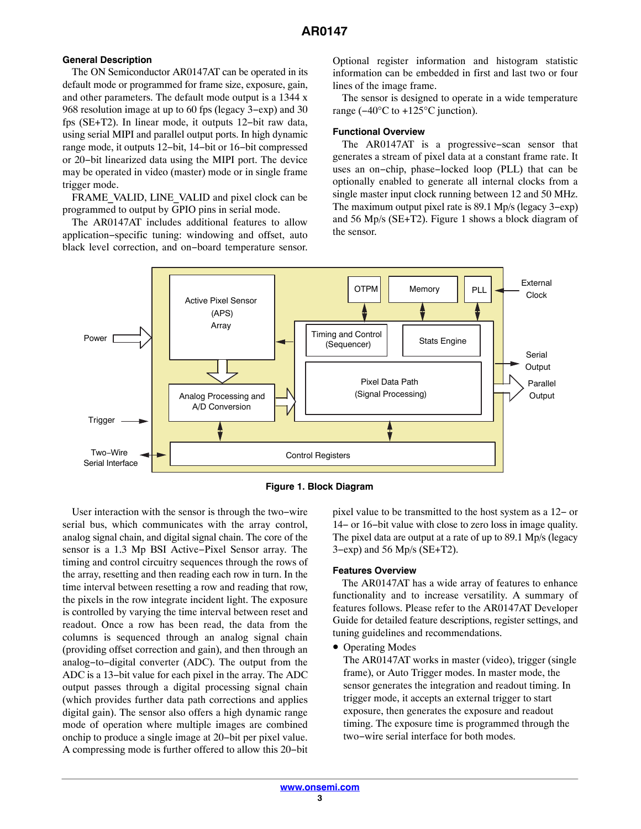#### **General Description**

The ON Semiconductor AR0147AT can be operated in its default mode or programmed for frame size, exposure, gain, and other parameters. The default mode output is a 1344 x 968 resolution image at up to 60 fps (legacy 3−exp) and 30 fps (SE+T2). In linear mode, it outputs 12−bit raw data, using serial MIPI and parallel output ports. In high dynamic range mode, it outputs 12−bit, 14−bit or 16−bit compressed or 20−bit linearized data using the MIPI port. The device may be operated in video (master) mode or in single frame trigger mode.

FRAME\_VALID, LINE\_VALID and pixel clock can be programmed to output by GPIO pins in serial mode.

The AR0147AT includes additional features to allow application−specific tuning: windowing and offset, auto black level correction, and on−board temperature sensor.

Optional register information and histogram statistic information can be embedded in first and last two or four lines of the image frame.

The sensor is designed to operate in a wide temperature range (−40°C to +125°C junction).

#### **Functional Overview**

The AR0147AT is a progressive−scan sensor that generates a stream of pixel data at a constant frame rate. It uses an on−chip, phase−locked loop (PLL) that can be optionally enabled to generate all internal clocks from a single master input clock running between 12 and 50 MHz. The maximum output pixel rate is 89.1 Mp/s (legacy 3−exp) and 56 Mp/s (SE+T2). Figure 1 shows a block diagram of the sensor.



**Figure 1. Block Diagram**

User interaction with the sensor is through the two−wire serial bus, which communicates with the array control, analog signal chain, and digital signal chain. The core of the sensor is a 1.3 Mp BSI Active−Pixel Sensor array. The timing and control circuitry sequences through the rows of the array, resetting and then reading each row in turn. In the time interval between resetting a row and reading that row, the pixels in the row integrate incident light. The exposure is controlled by varying the time interval between reset and readout. Once a row has been read, the data from the columns is sequenced through an analog signal chain (providing offset correction and gain), and then through an analog−to−digital converter (ADC). The output from the ADC is a 13−bit value for each pixel in the array. The ADC output passes through a digital processing signal chain (which provides further data path corrections and applies digital gain). The sensor also offers a high dynamic range mode of operation where multiple images are combined onchip to produce a single image at 20−bit per pixel value. A compressing mode is further offered to allow this 20−bit pixel value to be transmitted to the host system as a 12− or 14− or 16−bit value with close to zero loss in image quality. The pixel data are output at a rate of up to 89.1 Mp/s (legacy 3−exp) and 56 Mp/s (SE+T2).

#### **Features Overview**

The AR0147AT has a wide array of features to enhance functionality and to increase versatility. A summary of features follows. Please refer to the AR0147AT Developer Guide for detailed feature descriptions, register settings, and tuning guidelines and recommendations.

• Operating Modes

The AR0147AT works in master (video), trigger (single frame), or Auto Trigger modes. In master mode, the sensor generates the integration and readout timing. In trigger mode, it accepts an external trigger to start exposure, then generates the exposure and readout timing. The exposure time is programmed through the two−wire serial interface for both modes.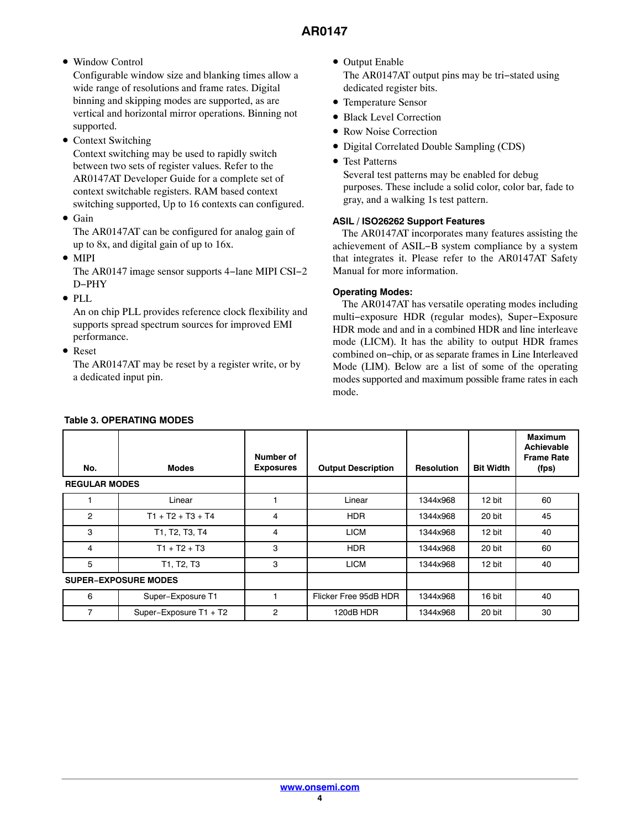# • Window Control

Configurable window size and blanking times allow a wide range of resolutions and frame rates. Digital binning and skipping modes are supported, as are vertical and horizontal mirror operations. Binning not supported.

• Context Switching

Context switching may be used to rapidly switch between two sets of register values. Refer to the AR0147AT Developer Guide for a complete set of context switchable registers. RAM based context switching supported, Up to 16 contexts can configured.

• Gain

The AR0147AT can be configured for analog gain of up to 8x, and digital gain of up to 16x.

• MIPI

The AR0147 image sensor supports 4−lane MIPI CSI−2 D−PHY

• PLL

An on chip PLL provides reference clock flexibility and supports spread spectrum sources for improved EMI performance.

• Reset

The AR0147AT may be reset by a register write, or by a dedicated input pin.

- Output Enable The AR0147AT output pins may be tri−stated using dedicated register bits.
- Temperature Sensor
- Black Level Correction
- Row Noise Correction
- Digital Correlated Double Sampling (CDS)
- Test Patterns

Several test patterns may be enabled for debug purposes. These include a solid color, color bar, fade to gray, and a walking 1s test pattern.

# **ASIL / ISO26262 Support Features**

The AR0147AT incorporates many features assisting the achievement of ASIL−B system compliance by a system that integrates it. Please refer to the AR0147AT Safety Manual for more information.

# **Operating Modes:**

The AR0147AT has versatile operating modes including multi−exposure HDR (regular modes), Super−Exposure HDR mode and and in a combined HDR and line interleave mode (LICM). It has the ability to output HDR frames combined on−chip, or as separate frames in Line Interleaved Mode (LIM). Below are a list of some of the operating modes supported and maximum possible frame rates in each mode.

| No.                  | <b>Modes</b>                | Number of<br><b>Exposures</b> | <b>Output Description</b> | <b>Resolution</b> | <b>Bit Width</b> | <b>Maximum</b><br>Achievable<br><b>Frame Rate</b><br>(fps) |
|----------------------|-----------------------------|-------------------------------|---------------------------|-------------------|------------------|------------------------------------------------------------|
| <b>REGULAR MODES</b> |                             |                               |                           |                   |                  |                                                            |
|                      | Linear                      |                               | Linear                    | 1344x968          | 12 bit           | 60                                                         |
| $\overline{c}$       | $T1 + T2 + T3 + T4$         | 4                             | <b>HDR</b>                | 1344x968          | 20 bit           | 45                                                         |
| 3                    | T1, T2, T3, T4              | 4                             | <b>LICM</b>               | 1344x968          | 12 bit           | 40                                                         |
| 4                    | $T1 + T2 + T3$              | 3                             | <b>HDR</b>                | 1344x968          | 20 bit           | 60                                                         |
| 5                    | T1, T2, T3                  | 3                             | <b>LICM</b>               | 1344x968          | 12 bit           | 40                                                         |
|                      | <b>SUPER-EXPOSURE MODES</b> |                               |                           |                   |                  |                                                            |
| 6                    | Super-Exposure T1           |                               | Flicker Free 95dB HDR     | 1344x968          | 16 bit           | 40                                                         |
| $\overline{7}$       | Super-Exposure T1 + T2      | 2                             | 120dB HDR                 | 1344x968          | 20 bit           | 30                                                         |

# **Table 3. OPERATING MODES**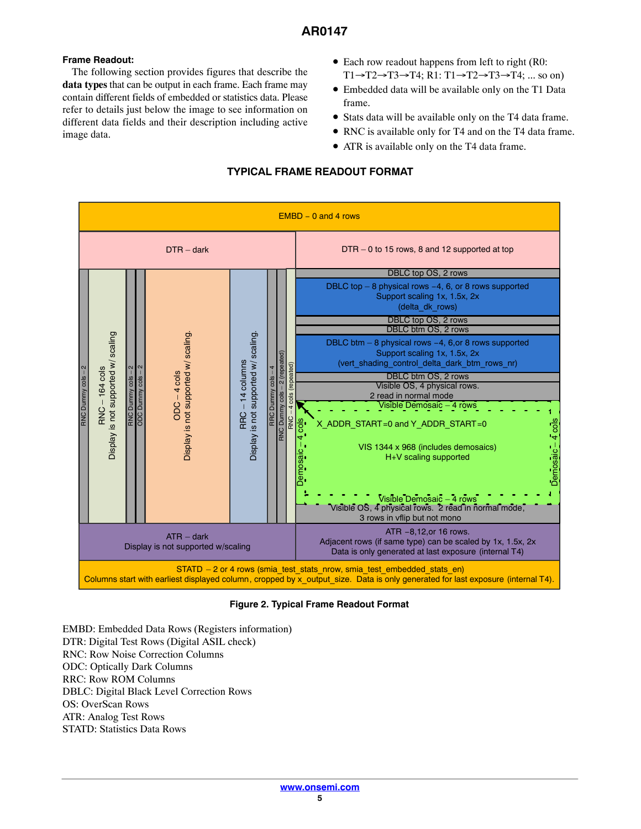## **Frame Readout:**

The following section provides figures that describe the **data types** that can be output in each frame. Each frame may contain different fields of embedded or statistics data. Please refer to details just below the image to see information on different data fields and their description including active image data.

- Each row readout happens from left to right (R0:  $T1 \rightarrow T2 \rightarrow T3 \rightarrow T4$ ; R1: T1 $\rightarrow T2 \rightarrow T3 \rightarrow T4$ ; ... so on)
- Embedded data will be available only on the T1 Data frame.
- Stats data will be available only on the T4 data frame.
- RNC is available only for T4 and on the T4 data frame.
- ATR is available only on the T4 data frame.

# **TYPICAL FRAME READOUT FORMAT**



**Figure 2. Typical Frame Readout Format**

EMBD: Embedded Data Rows (Registers information) DTR: Digital Test Rows (Digital ASIL check) RNC: Row Noise Correction Columns ODC: Optically Dark Columns RRC: Row ROM Columns DBLC: Digital Black Level Correction Rows OS: OverScan Rows ATR: Analog Test Rows STATD: Statistics Data Rows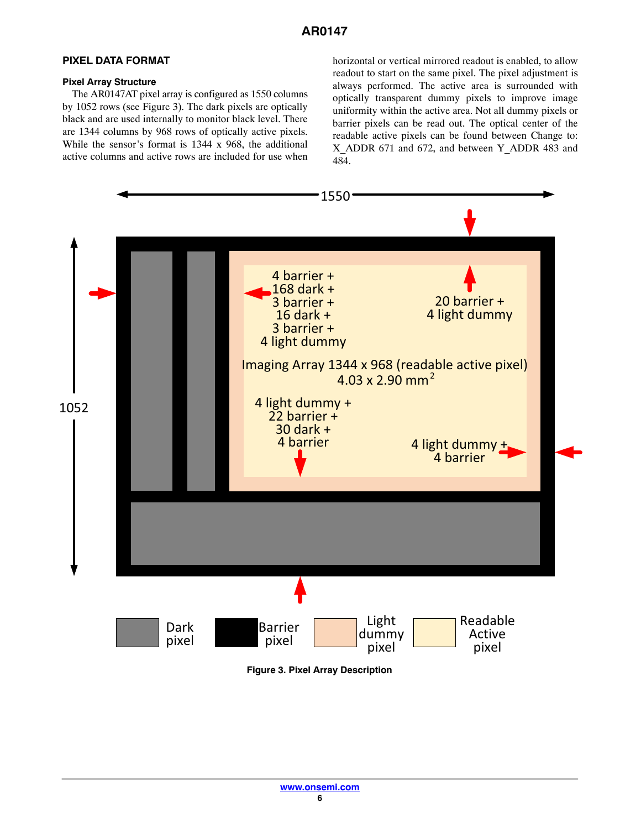# **PIXEL DATA FORMAT**

#### **Pixel Array Structure**

The AR0147AT pixel array is configured as 1550 columns by 1052 rows (see Figure 3). The dark pixels are optically black and are used internally to monitor black level. There are 1344 columns by 968 rows of optically active pixels. While the sensor's format is 1344 x 968, the additional active columns and active rows are included for use when horizontal or vertical mirrored readout is enabled, to allow readout to start on the same pixel. The pixel adjustment is always performed. The active area is surrounded with optically transparent dummy pixels to improve image uniformity within the active area. Not all dummy pixels or barrier pixels can be read out. The optical center of the readable active pixels can be found between Change to: X\_ADDR 671 and 672, and between Y\_ADDR 483 and 484.

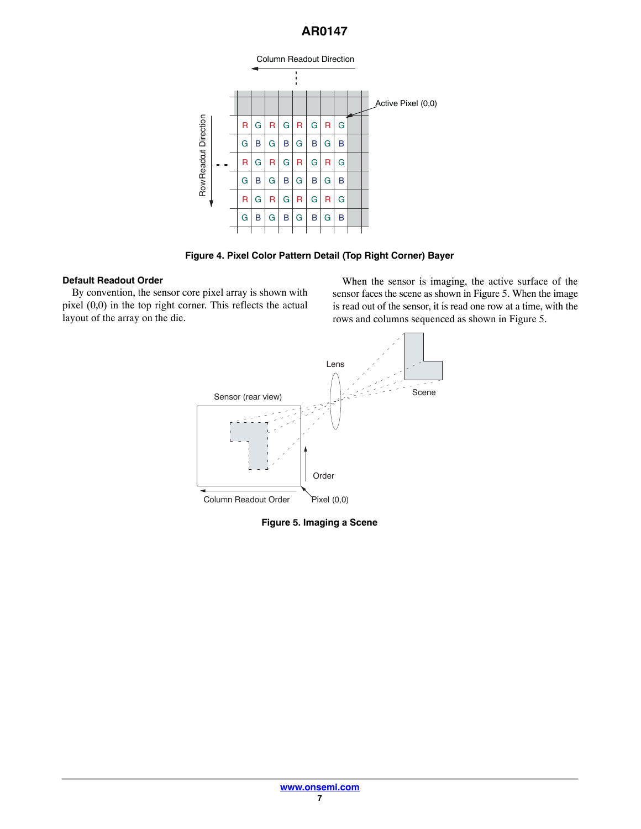

**Figure 4. Pixel Color Pattern Detail (Top Right Corner) Bayer**

## **Default Readout Order**

By convention, the sensor core pixel array is shown with pixel (0,0) in the top right corner. This reflects the actual layout of the array on the die.

When the sensor is imaging, the active surface of the sensor faces the scene as shown in Figure 5. When the image is read out of the sensor, it is read one row at a time, with the rows and columns sequenced as shown in Figure 5.



**Figure 5. Imaging a Scene**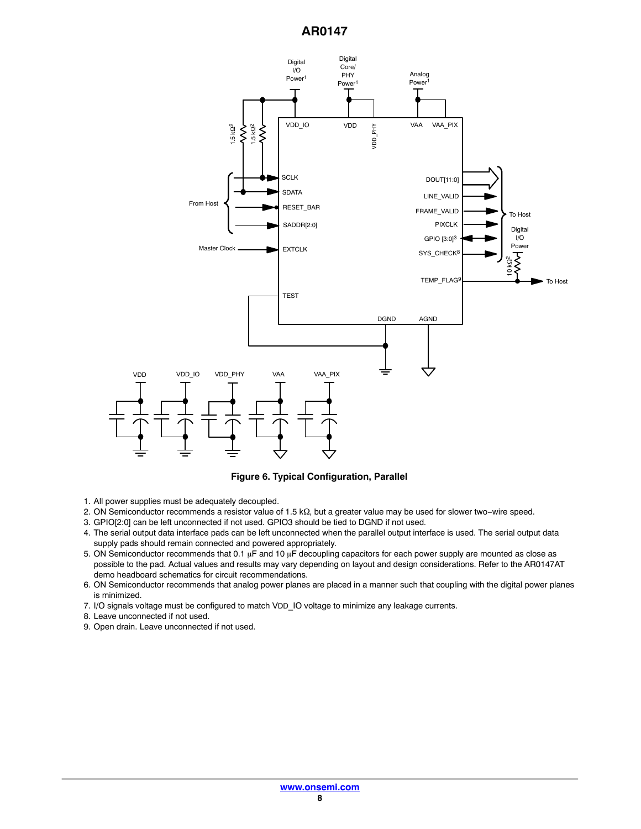

**Figure 6. Typical Configuration, Parallel**

- 1. All power supplies must be adequately decoupled.
- 2. ON Semiconductor recommends a resistor value of 1.5 kΩ, but a greater value may be used for slower two−wire speed.
- 3. GPIO[2:0] can be left unconnected if not used. GPIO3 should be tied to DGND if not used.
- 4. The serial output data interface pads can be left unconnected when the parallel output interface is used. The serial output data supply pads should remain connected and powered appropriately.
- 5. ON Semiconductor recommends that 0.1  $\upmu$ F and 10  $\upmu$ F decoupling capacitors for each power supply are mounted as close as possible to the pad. Actual values and results may vary depending on layout and design considerations. Refer to the AR0147AT demo headboard schematics for circuit recommendations.
- 6. ON Semiconductor recommends that analog power planes are placed in a manner such that coupling with the digital power planes is minimized.
- 7. I/O signals voltage must be configured to match VDD\_IO voltage to minimize any leakage currents.
- 8. Leave unconnected if not used.
- 9. Open drain. Leave unconnected if not used.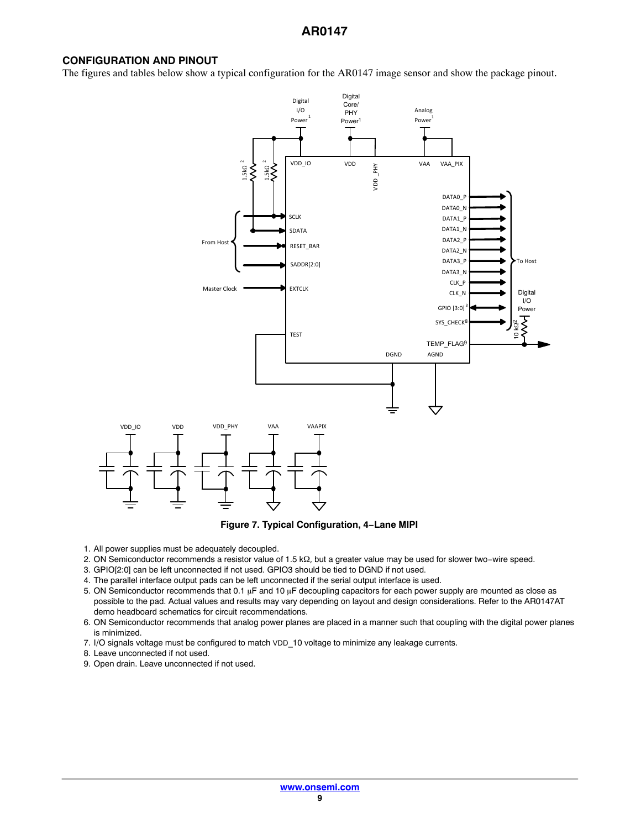#### **CONFIGURATION AND PINOUT**

The figures and tables below show a typical configuration for the AR0147 image sensor and show the package pinout.





- 1. All power supplies must be adequately decoupled.
- 2. ON Semiconductor recommends a resistor value of 1.5 kΩ, but a greater value may be used for slower two−wire speed.
- 3. GPIO[2:0] can be left unconnected if not used. GPIO3 should be tied to DGND if not used.
- 4. The parallel interface output pads can be left unconnected if the serial output interface is used.
- 5. ON Semiconductor recommends that 0.1  $\upmu$ F and 10  $\upmu$ F decoupling capacitors for each power supply are mounted as close as possible to the pad. Actual values and results may vary depending on layout and design considerations. Refer to the AR0147AT demo headboard schematics for circuit recommendations.
- 6. ON Semiconductor recommends that analog power planes are placed in a manner such that coupling with the digital power planes is minimized.
- 7. I/O signals voltage must be configured to match VDD\_10 voltage to minimize any leakage currents.
- 8. Leave unconnected if not used.
- 9. Open drain. Leave unconnected if not used.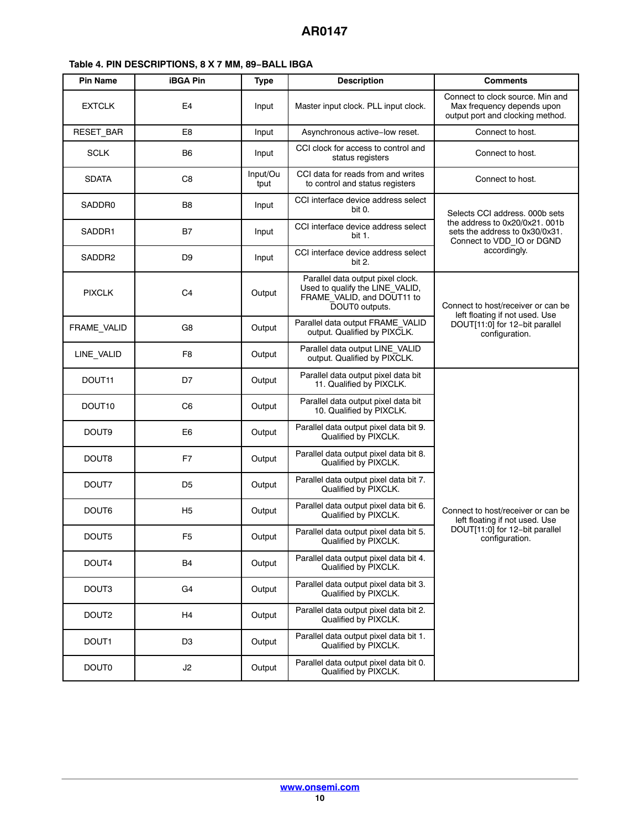<span id="page-9-0"></span>

|  |  | Table 4. PIN DESCRIPTIONS, 8 X 7 MM, 89-BALL IBGA |  |  |  |  |  |
|--|--|---------------------------------------------------|--|--|--|--|--|
|--|--|---------------------------------------------------|--|--|--|--|--|

| <b>Pin Name</b>    | <b>iBGA Pin</b> | <b>Type</b>      | <b>Description</b>                                                                                                   | <b>Comments</b>                                                                                    |
|--------------------|-----------------|------------------|----------------------------------------------------------------------------------------------------------------------|----------------------------------------------------------------------------------------------------|
| <b>EXTCLK</b>      | E <sub>4</sub>  | Input            | Master input clock. PLL input clock.                                                                                 | Connect to clock source. Min and<br>Max frequency depends upon<br>output port and clocking method. |
| RESET_BAR          | E8              | Input            | Asynchronous active-low reset.                                                                                       | Connect to host.                                                                                   |
| <b>SCLK</b>        | B <sub>6</sub>  | Input            | CCI clock for access to control and<br>status registers                                                              | Connect to host.                                                                                   |
| <b>SDATA</b>       | C8              | Input/Ou<br>tput | CCI data for reads from and writes<br>to control and status registers                                                | Connect to host.                                                                                   |
| SADDR0             | B8              | Input            | CCI interface device address select<br>bit 0.                                                                        | Selects CCI address. 000b sets                                                                     |
| SADDR1             | B7              | Input            | CCI interface device address select<br>bit 1.                                                                        | the address to 0x20/0x21, 001b<br>sets the address to 0x30/0x31.<br>Connect to VDD_IO or DGND      |
| SADDR2             | D <sub>9</sub>  | Input            | CCI interface device address select<br>bit 2.                                                                        | accordingly.                                                                                       |
| <b>PIXCLK</b>      | C <sub>4</sub>  | Output           | Parallel data output pixel clock.<br>Used to qualify the LINE_VALID,<br>FRAME_VALID, and DOUT11 to<br>DOUT0 outputs. | Connect to host/receiver or can be<br>left floating if not used. Use                               |
| FRAME_VALID        | G <sub>8</sub>  | Output           | Parallel data output FRAME VALID<br>output. Qualified by PIXCLK.                                                     | DOUT[11:0] for 12-bit parallel<br>configuration.                                                   |
| LINE_VALID         | F <sub>8</sub>  | Output           | Parallel data output LINE_VALID<br>output. Qualified by PIXCLK.                                                      |                                                                                                    |
| DOUT <sub>11</sub> | D7              | Output           | Parallel data output pixel data bit<br>11. Qualified by PIXCLK.                                                      |                                                                                                    |
| DOUT <sub>10</sub> | C6              | Output           | Parallel data output pixel data bit<br>10. Qualified by PIXCLK.                                                      |                                                                                                    |
| DOUT <sub>9</sub>  | E <sub>6</sub>  | Output           | Parallel data output pixel data bit 9.<br>Qualified by PIXCLK.                                                       |                                                                                                    |
| DOUT8              | F7              | Output           | Parallel data output pixel data bit 8.<br>Qualified by PIXCLK.                                                       |                                                                                                    |
| DOUT7              | D <sub>5</sub>  | Output           | Parallel data output pixel data bit 7.<br>Qualified by PIXCLK.                                                       |                                                                                                    |
| DOUT6              | H <sub>5</sub>  | Output           | Parallel data output pixel data bit 6.<br>Qualified by PIXCLK.                                                       | Connect to host/receiver or can be<br>left floating if not used. Use                               |
| DOUT5              | F5              | Output           | Parallel data output pixel data bit 5.<br>Qualified by PIXCLK.                                                       | DOUT[11:0] for 12-bit parallel<br>configuration.                                                   |
| DOUT4              | <b>B4</b>       | Output           | Parallel data output pixel data bit 4.<br>Qualified by PIXCLK.                                                       |                                                                                                    |
| DOUT3              | G <sub>4</sub>  | Output           | Parallel data output pixel data bit 3.<br>Qualified by PIXCLK.                                                       |                                                                                                    |
| DOUT2              | H <sub>4</sub>  | Output           | Parallel data output pixel data bit 2.<br>Qualified by PIXCLK.                                                       |                                                                                                    |
| DOUT1              | D <sub>3</sub>  | Output           | Parallel data output pixel data bit 1.<br>Qualified by PIXCLK.                                                       |                                                                                                    |
| <b>DOUT0</b>       | J2              | Output           | Parallel data output pixel data bit 0.<br>Qualified by PIXCLK.                                                       |                                                                                                    |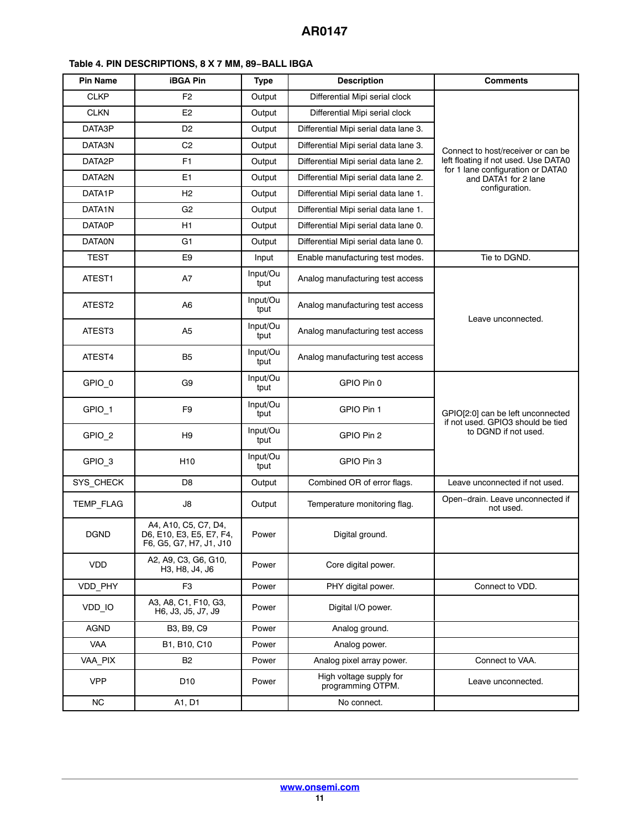| <b>Pin Name</b>     | <b>iBGA Pin</b>                                                             | <b>Type</b>      | <b>Description</b>                           | <b>Comments</b>                                           |
|---------------------|-----------------------------------------------------------------------------|------------------|----------------------------------------------|-----------------------------------------------------------|
| <b>CLKP</b>         | F <sub>2</sub>                                                              | Output           | Differential Mipi serial clock               |                                                           |
| <b>CLKN</b>         | E <sub>2</sub>                                                              | Output           | Differential Mipi serial clock               |                                                           |
| DATA3P              | D <sub>2</sub>                                                              | Output           | Differential Mipi serial data lane 3.        |                                                           |
| DATA3N              | C <sub>2</sub>                                                              | Output           | Differential Mipi serial data lane 3.        | Connect to host/receiver or can be                        |
| DATA2P              | F1                                                                          | Output           | Differential Mipi serial data lane 2.        | left floating if not used. Use DATA0                      |
| DATA2N              | E1                                                                          | Output           | Differential Mipi serial data lane 2.        | for 1 lane configuration or DATA0<br>and DATA1 for 2 lane |
| DATA <sub>1</sub> P | H <sub>2</sub>                                                              | Output           | Differential Mipi serial data lane 1.        | configuration.                                            |
| DATA1N              | G <sub>2</sub>                                                              | Output           | Differential Mipi serial data lane 1.        |                                                           |
| <b>DATA0P</b>       | H1                                                                          | Output           | Differential Mipi serial data lane 0.        |                                                           |
| <b>DATAON</b>       | G <sub>1</sub>                                                              | Output           | Differential Mipi serial data lane 0.        |                                                           |
| <b>TEST</b>         | E9                                                                          | Input            | Enable manufacturing test modes.             | Tie to DGND.                                              |
| ATEST1              | A7                                                                          | Input/Ou<br>tput | Analog manufacturing test access             |                                                           |
| ATEST2              | A6                                                                          | Input/Ou<br>tput | Analog manufacturing test access             |                                                           |
| ATEST3              | A <sub>5</sub>                                                              | Input/Ou<br>tput | Analog manufacturing test access             | Leave unconnected.                                        |
| ATEST4              | B <sub>5</sub>                                                              | Input/Ou<br>tput | Analog manufacturing test access             |                                                           |
| GPIO <sub>0</sub>   | G9                                                                          | Input/Ou<br>tput | GPIO Pin 0                                   |                                                           |
| GPIO_1              | F <sub>9</sub>                                                              | Input/Ou<br>tput | GPIO Pin 1                                   | GPIO[2:0] can be left unconnected                         |
| GPIO_2              | H <sub>9</sub>                                                              | Input/Ou<br>tput | GPIO Pin 2                                   | if not used. GPIO3 should be tied<br>to DGND if not used. |
| GPIO_3              | H <sub>10</sub>                                                             | Input/Ou<br>tput | GPIO Pin 3                                   |                                                           |
| SYS_CHECK           | D <sub>8</sub>                                                              | Output           | Combined OR of error flags.                  | Leave unconnected if not used.                            |
| TEMP_FLAG           | J8                                                                          | Output           | Temperature monitoring flag.                 | Open-drain. Leave unconnected if<br>not used.             |
| <b>DGND</b>         | A4, A10, C5, C7, D4,<br>D6, E10, E3, E5, E7, F4,<br>F6, G5, G7, H7, J1, J10 | Power            | Digital ground.                              |                                                           |
| <b>VDD</b>          | A2, A9, C3, G6, G10,<br>H3, H8, J4, J6                                      | Power            | Core digital power.                          |                                                           |
| VDD_PHY             | F <sub>3</sub>                                                              | Power            | PHY digital power.                           | Connect to VDD.                                           |
| VDD IO              | A3, A8, C1, F10, G3,<br>H6, J3, J5, J7, J9                                  | Power            | Digital I/O power.                           |                                                           |
| <b>AGND</b>         | B3, B9, C9                                                                  | Power            | Analog ground.                               |                                                           |
| <b>VAA</b>          | B1, B10, C10                                                                | Power            | Analog power.                                |                                                           |
| VAA_PIX             | <b>B2</b>                                                                   | Power            | Analog pixel array power.                    | Connect to VAA.                                           |
| <b>VPP</b>          | D <sub>10</sub>                                                             | Power            | High voltage supply for<br>programming OTPM. | Leave unconnected.                                        |
| <b>NC</b>           | A1, D1                                                                      |                  | No connect.                                  |                                                           |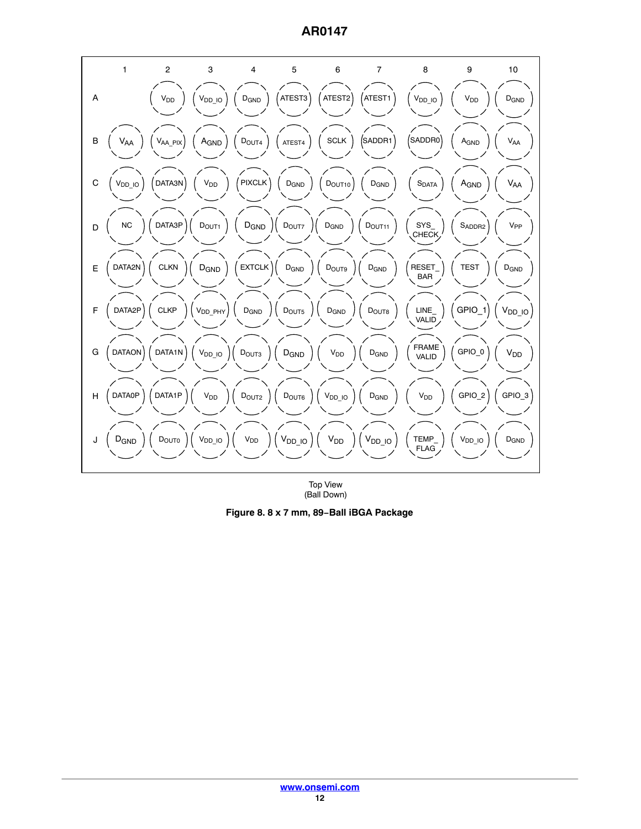**AR0147**



Top View (Ball Down)

**Figure 8. 8 x 7 mm, 89−Ball iBGA Package**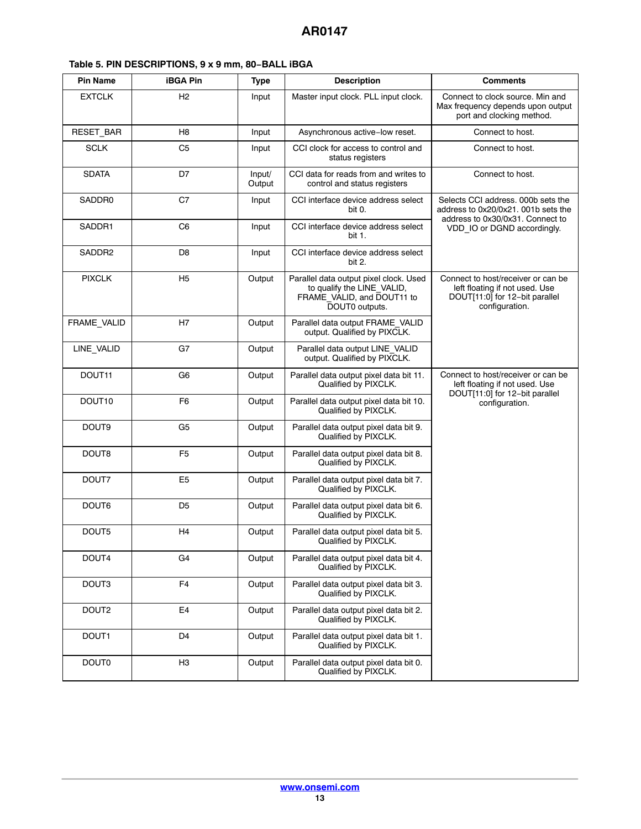<span id="page-12-0"></span>

| <b>Pin Name</b>    | <b>iBGA Pin</b> | <b>Type</b>      | <b>Description</b>                                                                                                   | <b>Comments</b>                                                                                                          |
|--------------------|-----------------|------------------|----------------------------------------------------------------------------------------------------------------------|--------------------------------------------------------------------------------------------------------------------------|
| <b>EXTCLK</b>      | H <sub>2</sub>  | Input            | Master input clock. PLL input clock.                                                                                 | Connect to clock source. Min and<br>Max frequency depends upon output<br>port and clocking method.                       |
| RESET_BAR          | H8              | Input            | Asynchronous active-low reset.                                                                                       | Connect to host.                                                                                                         |
| <b>SCLK</b>        | C <sub>5</sub>  | Input            | CCI clock for access to control and<br>status registers                                                              | Connect to host.                                                                                                         |
| <b>SDATA</b>       | D7              | Input/<br>Output | CCI data for reads from and writes to<br>control and status registers                                                | Connect to host.                                                                                                         |
| SADDR0             | C7              | Input            | CCI interface device address select<br>bit 0.                                                                        | Selects CCI address, 000b sets the<br>address to 0x20/0x21. 001b sets the<br>address to 0x30/0x31. Connect to            |
| SADDR1             | C <sub>6</sub>  | Input            | CCI interface device address select<br>bit 1.                                                                        | VDD IO or DGND accordingly.                                                                                              |
| SADDR2             | D <sub>8</sub>  | Input            | CCI interface device address select<br>bit 2.                                                                        |                                                                                                                          |
| <b>PIXCLK</b>      | H <sub>5</sub>  | Output           | Parallel data output pixel clock. Used<br>to qualify the LINE_VALID,<br>FRAME VALID, and DOUT11 to<br>DOUT0 outputs. | Connect to host/receiver or can be<br>left floating if not used. Use<br>DOUT[11:0] for 12-bit parallel<br>configuration. |
| FRAME_VALID        | H7              | Output           | Parallel data output FRAME VALID<br>output. Qualified by PIXCLK.                                                     |                                                                                                                          |
| LINE VALID         | G7              | Output           | Parallel data output LINE VALID<br>output. Qualified by PIXCLK.                                                      |                                                                                                                          |
| DOUT11             | G6              | Output           | Parallel data output pixel data bit 11.<br>Qualified by PIXCLK.                                                      | Connect to host/receiver or can be<br>left floating if not used. Use<br>DOUT[11:0] for 12-bit parallel                   |
| DOUT <sub>10</sub> | F <sub>6</sub>  | Output           | Parallel data output pixel data bit 10.<br>Qualified by PIXCLK.                                                      | configuration.                                                                                                           |
| DOUT <sub>9</sub>  | G <sub>5</sub>  | Output           | Parallel data output pixel data bit 9.<br>Qualified by PIXCLK.                                                       |                                                                                                                          |
| DOUT <sub>8</sub>  | F <sub>5</sub>  | Output           | Parallel data output pixel data bit 8.<br>Qualified by PIXCLK.                                                       |                                                                                                                          |
| DOUT7              | E <sub>5</sub>  | Output           | Parallel data output pixel data bit 7.<br>Qualified by PIXCLK.                                                       |                                                                                                                          |
| DOUT6              | D <sub>5</sub>  | Output           | Parallel data output pixel data bit 6.<br>Qualified by PIXCLK.                                                       |                                                                                                                          |
| DOUT5              | H4              | Output           | Parallel data output pixel data bit 5.<br>Qualified by PIXCLK.                                                       |                                                                                                                          |
| DOUT4              | G4              | Output           | Parallel data output pixel data bit 4.<br>Qualified by PIXCLK.                                                       |                                                                                                                          |
| DOUT <sub>3</sub>  | F4              | Output           | Parallel data output pixel data bit 3.<br>Qualified by PIXCLK.                                                       |                                                                                                                          |
| DOUT2              | E <sub>4</sub>  | Output           | Parallel data output pixel data bit 2.<br>Qualified by PIXCLK.                                                       |                                                                                                                          |
| DOUT1              | D <sub>4</sub>  | Output           | Parallel data output pixel data bit 1.<br>Qualified by PIXCLK.                                                       |                                                                                                                          |
| <b>DOUTO</b>       | H <sub>3</sub>  | Output           | Parallel data output pixel data bit 0.<br>Qualified by PIXCLK.                                                       |                                                                                                                          |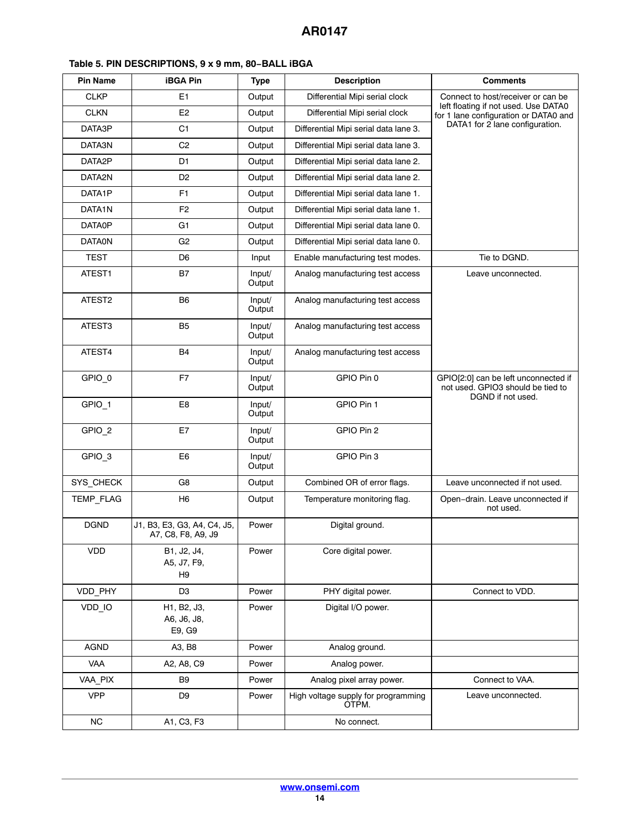| <b>Pin Name</b>    | <b>iBGA Pin</b>                                   | <b>Type</b>      | <b>Description</b>                           | <b>Comments</b>                                                                                |
|--------------------|---------------------------------------------------|------------------|----------------------------------------------|------------------------------------------------------------------------------------------------|
| <b>CLKP</b>        | E1                                                | Output           | Differential Mipi serial clock               | Connect to host/receiver or can be                                                             |
| <b>CLKN</b>        | E <sub>2</sub>                                    | Output           | Differential Mipi serial clock               | left floating if not used. Use DATA0<br>for 1 lane configuration or DATA0 and                  |
| DATA3P             | C1                                                | Output           | Differential Mipi serial data lane 3.        | DATA1 for 2 lane configuration.                                                                |
| DATA3N             | C <sub>2</sub>                                    | Output           | Differential Mipi serial data lane 3.        |                                                                                                |
| DATA2P             | D <sub>1</sub>                                    | Output           | Differential Mipi serial data lane 2.        |                                                                                                |
| DATA2N             | D <sub>2</sub>                                    | Output           | Differential Mipi serial data lane 2.        |                                                                                                |
| DATA1P             | F <sub>1</sub>                                    | Output           | Differential Mipi serial data lane 1.        |                                                                                                |
| DATA1N             | F <sub>2</sub>                                    | Output           | Differential Mipi serial data lane 1.        |                                                                                                |
| <b>DATA0P</b>      | G1                                                | Output           | Differential Mipi serial data lane 0.        |                                                                                                |
| <b>DATAON</b>      | G <sub>2</sub>                                    | Output           | Differential Mipi serial data lane 0.        |                                                                                                |
| TEST               | D6                                                | Input            | Enable manufacturing test modes.             | Tie to DGND.                                                                                   |
| ATEST1             | <b>B7</b>                                         | Input/<br>Output | Analog manufacturing test access             | Leave unconnected.                                                                             |
| ATEST <sub>2</sub> | B <sub>6</sub>                                    | Input/<br>Output | Analog manufacturing test access             |                                                                                                |
| ATEST3             | B5                                                | Input/<br>Output | Analog manufacturing test access             |                                                                                                |
| ATEST4             | <b>B4</b>                                         | Input/<br>Output | Analog manufacturing test access             |                                                                                                |
| GPIO <sub>0</sub>  | F7                                                | Input/<br>Output | GPIO Pin 0                                   | GPIO[2:0] can be left unconnected if<br>not used. GPIO3 should be tied to<br>DGND if not used. |
| GPIO_1             | E <sub>8</sub>                                    | Input/<br>Output | GPIO Pin 1                                   |                                                                                                |
| GPIO_2             | E7                                                | Input/<br>Output | GPIO Pin 2                                   |                                                                                                |
| GPIO <sub>3</sub>  | E <sub>6</sub>                                    | Input/<br>Output | GPIO Pin 3                                   |                                                                                                |
| SYS_CHECK          | G8                                                | Output           | Combined OR of error flags.                  | Leave unconnected if not used.                                                                 |
| <b>TEMP FLAG</b>   | H6                                                | Output           | Temperature monitoring flag.                 | Open-drain. Leave unconnected if<br>not used.                                                  |
| <b>DGND</b>        | J1, B3, E3, G3, A4, C4, J5,<br>A7, C8, F8, A9, J9 | Power            | Digital ground.                              |                                                                                                |
| <b>VDD</b>         | B1, J2, J4,<br>A5, J7, F9,<br>H <sub>9</sub>      | Power            | Core digital power.                          |                                                                                                |
| VDD_PHY            | D <sub>3</sub>                                    | Power            | PHY digital power.                           | Connect to VDD.                                                                                |
| VDD_IO             | H1, B2, J3,<br>A6, J6, J8,<br>E9, G9              | Power            | Digital I/O power.                           |                                                                                                |
| AGND               | A3, B8                                            | Power            | Analog ground.                               |                                                                                                |
| VAA                | A2, A8, C9                                        | Power            | Analog power.                                |                                                                                                |
| VAA_PIX            | B9                                                | Power            | Analog pixel array power.                    | Connect to VAA.                                                                                |
| <b>VPP</b>         | D9                                                | Power            | High voltage supply for programming<br>OTPM. | Leave unconnected.                                                                             |
| <b>NC</b>          | A1, C3, F3                                        |                  | No connect.                                  |                                                                                                |

# **Table [5](#page-12-0). PIN DESCRIPTIONS, 9 x 9 mm, 80−BALL iBGA**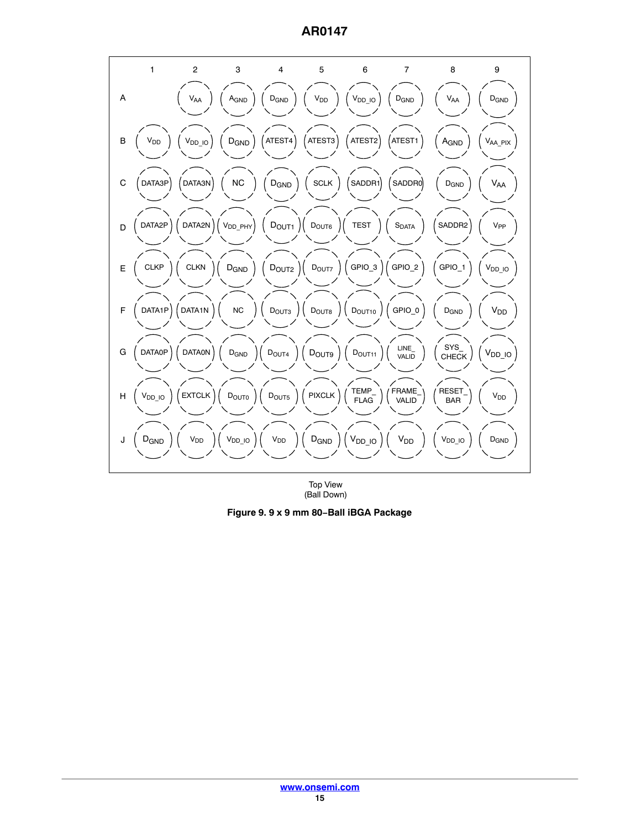

Top View (Ball Down)

**Figure 9. 9 x 9 mm 80−Ball iBGA Package**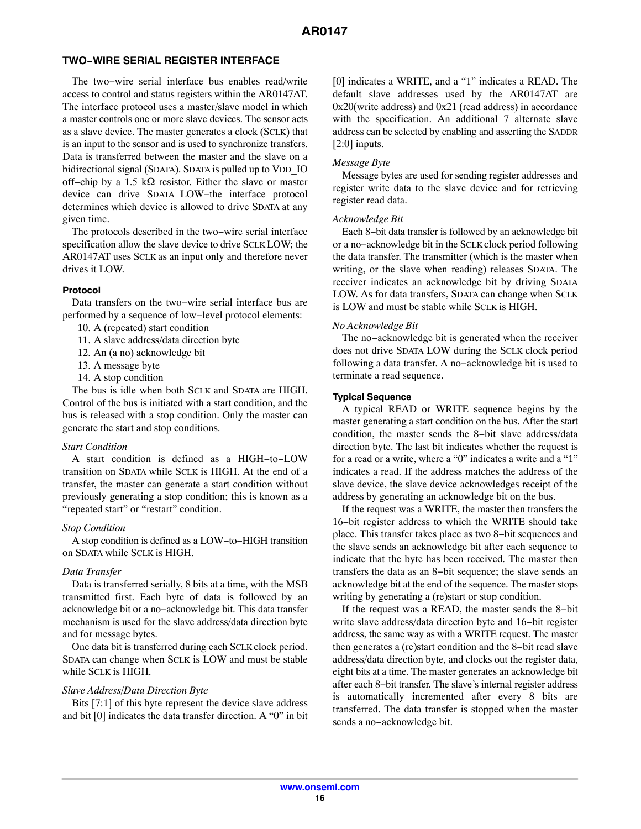#### **TWO−WIRE SERIAL REGISTER INTERFACE**

The two−wire serial interface bus enables read/write access to control and status registers within the AR0147AT. The interface protocol uses a master/slave model in which a master controls one or more slave devices. The sensor acts as a slave device. The master generates a clock (SCLK) that is an input to the sensor and is used to synchronize transfers. Data is transferred between the master and the slave on a bidirectional signal (SDATA). SDATA is pulled up to VDD IO off–chip by a 1.5 k $\Omega$  resistor. Either the slave or master device can drive SDATA LOW−the interface protocol determines which device is allowed to drive SDATA at any given time.

The protocols described in the two−wire serial interface specification allow the slave device to drive SCLK LOW; the AR0147AT uses SCLK as an input only and therefore never drives it LOW.

#### **Protocol**

Data transfers on the two−wire serial interface bus are performed by a sequence of low−level protocol elements:

- 10. A (repeated) start condition
- 11. A slave address/data direction byte
- 12. An (a no) acknowledge bit
- 13. A message byte
- 14. A stop condition

The bus is idle when both SCLK and SDATA are HIGH. Control of the bus is initiated with a start condition, and the bus is released with a stop condition. Only the master can generate the start and stop conditions.

#### *Start Condition*

A start condition is defined as a HIGH−to−LOW transition on SDATA while SCLK is HIGH. At the end of a transfer, the master can generate a start condition without previously generating a stop condition; this is known as a "repeated start" or "restart" condition.

#### *Stop Condition*

A stop condition is defined as a LOW−to−HIGH transition on SDATA while SCLK is HIGH.

#### *Data Transfer*

Data is transferred serially, 8 bits at a time, with the MSB transmitted first. Each byte of data is followed by an acknowledge bit or a no−acknowledge bit. This data transfer mechanism is used for the slave address/data direction byte and for message bytes.

One data bit is transferred during each SCLK clock period. SDATA can change when SCLK is LOW and must be stable while SCLK is HIGH.

#### *Slave Address/Data Direction Byte*

Bits [7:1] of this byte represent the device slave address and bit [0] indicates the data transfer direction. A "0" in bit

[0] indicates a WRITE, and a "1" indicates a READ. The default slave addresses used by the AR0147AT are 0x20(write address) and 0x21 (read address) in accordance with the specification. An additional 7 alternate slave address can be selected by enabling and asserting the SADDR [2:0] inputs.

#### *Message Byte*

Message bytes are used for sending register addresses and register write data to the slave device and for retrieving register read data.

#### *Acknowledge Bit*

Each 8−bit data transfer is followed by an acknowledge bit or a no−acknowledge bit in the SCLK clock period following the data transfer. The transmitter (which is the master when writing, or the slave when reading) releases SDATA. The receiver indicates an acknowledge bit by driving SDATA LOW. As for data transfers, SDATA can change when SCLK is LOW and must be stable while SCLK is HIGH.

#### *No Acknowledge Bit*

The no−acknowledge bit is generated when the receiver does not drive SDATA LOW during the SCLK clock period following a data transfer. A no−acknowledge bit is used to terminate a read sequence.

#### **Typical Sequence**

A typical READ or WRITE sequence begins by the master generating a start condition on the bus. After the start condition, the master sends the 8−bit slave address/data direction byte. The last bit indicates whether the request is for a read or a write, where a "0" indicates a write and a "1" indicates a read. If the address matches the address of the slave device, the slave device acknowledges receipt of the address by generating an acknowledge bit on the bus.

If the request was a WRITE, the master then transfers the 16−bit register address to which the WRITE should take place. This transfer takes place as two 8−bit sequences and the slave sends an acknowledge bit after each sequence to indicate that the byte has been received. The master then transfers the data as an 8−bit sequence; the slave sends an acknowledge bit at the end of the sequence. The master stops writing by generating a (re)start or stop condition.

If the request was a READ, the master sends the 8−bit write slave address/data direction byte and 16−bit register address, the same way as with a WRITE request. The master then generates a (re)start condition and the 8−bit read slave address/data direction byte, and clocks out the register data, eight bits at a time. The master generates an acknowledge bit after each 8−bit transfer. The slave's internal register address is automatically incremented after every 8 bits are transferred. The data transfer is stopped when the master sends a no−acknowledge bit.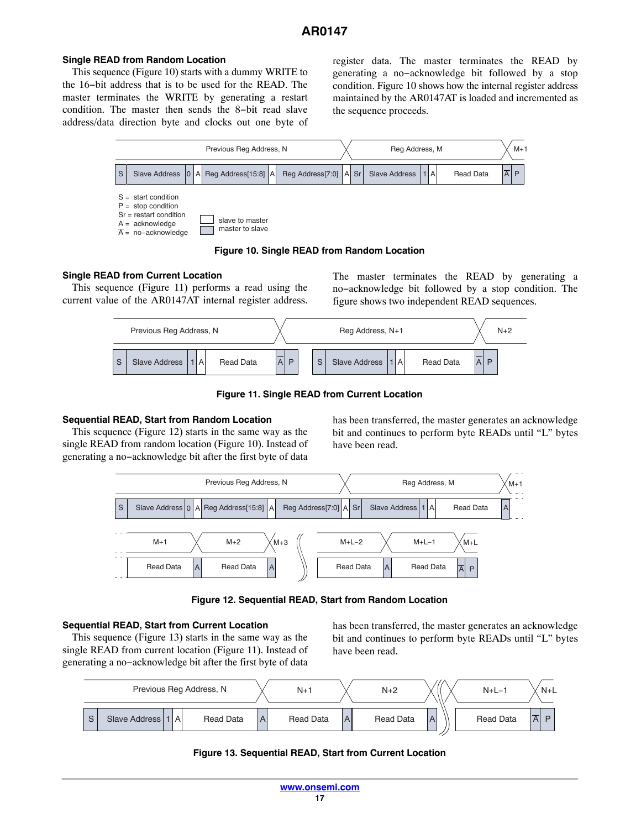#### **Single READ from Random Location**

This sequence (Figure 10) starts with a dummy WRITE to the 16−bit address that is to be used for the READ. The master terminates the WRITE by generating a restart condition. The master then sends the 8−bit read slave address/data direction byte and clocks out one byte of register data. The master terminates the READ by generating a no−acknowledge bit followed by a stop condition. Figure 10 shows how the internal register address maintained by the AR0147AT is loaded and incremented as the sequence proceeds.



#### **Figure 10. Single READ from Random Location**

#### **Single READ from Current Location**

This sequence (Figure 11) performs a read using the current value of the AR0147AT internal register address.

The master terminates the READ by generating a no−acknowledge bit followed by a stop condition. The figure shows two independent READ sequences.



**Figure 11. Single READ from Current Location**

#### **Sequential READ, Start from Random Location**

This sequence (Figure 12) starts in the same way as the single READ from random location (Figure 10). Instead of generating a no−acknowledge bit after the first byte of data

has been transferred, the master generates an acknowledge bit and continues to perform byte READs until "L" bytes have been read.



**Figure 12. Sequential READ, Start from Random Location**

#### **Sequential READ, Start from Current Location**

This sequence (Figure 13) starts in the same way as the single READ from current location (Figure 11). Instead of generating a no−acknowledge bit after the first byte of data

has been transferred, the master generates an acknowledge bit and continues to perform byte READs until "L" bytes have been read.



## **Figure 13. Sequential READ, Start from Current Location**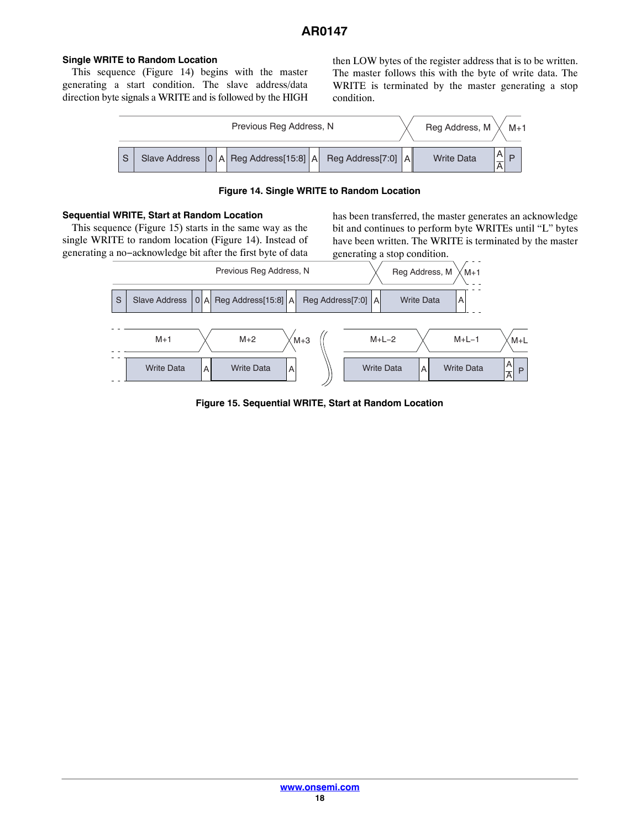# **Single WRITE to Random Location**

This sequence (Figure 14) begins with the master generating a start condition. The slave address/data direction byte signals a WRITE and is followed by the HIGH then LOW bytes of the register address that is to be written. The master follows this with the byte of write data. The WRITE is terminated by the master generating a stop condition.



**Figure 14. Single WRITE to Random Location**

#### **Sequential WRITE, Start at Random Location**

This sequence (Figure 15) starts in the same way as the single WRITE to random location (Figure 14). Instead of generating a no−acknowledge bit after the first byte of data

has been transferred, the master generates an acknowledge bit and continues to perform byte WRITEs until "L" bytes have been written. The WRITE is terminated by the master generating a stop condition.



**Figure 15. Sequential WRITE, Start at Random Location**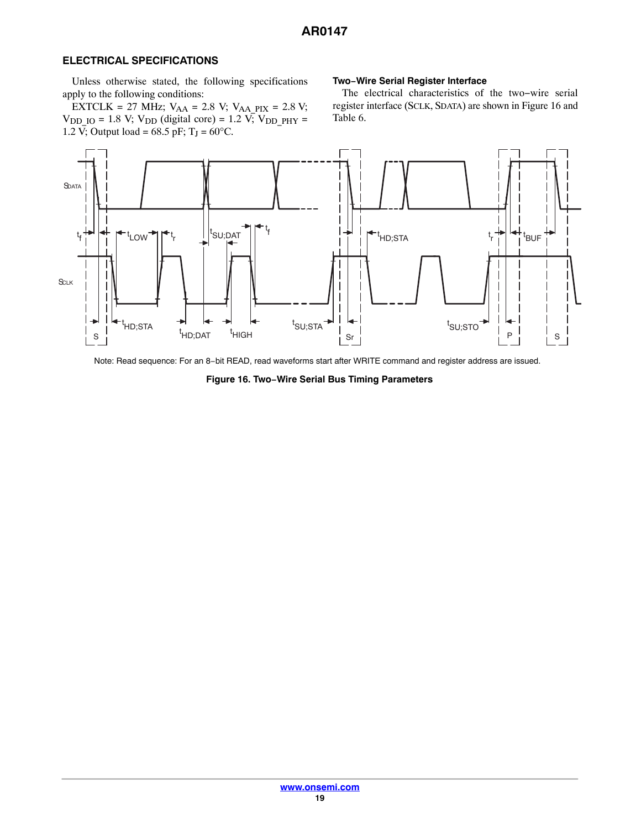## **ELECTRICAL SPECIFICATIONS**

Unless otherwise stated, the following specifications apply to the following conditions:

EXTCLK = 27 MHz;  $V_{AA}$  = 2.8 V;  $V_{AA}$  = 2.8 V;  $V_{DDIO} = 1.8 V; V_{DD} (digital core) = 1.2 V; V_{DDPHY} =$ 1.2  $\bar{V}$ ; Output load = 68.5 pF; T<sub>J</sub> = 60°C.

## **Two−Wire Serial Register Interface**

The electrical characteristics of the two−wire serial register interface (SCLK, SDATA) are shown in Figure 16 and Table [6](#page-19-0).



Note: Read sequence: For an 8−bit READ, read waveforms start after WRITE command and register address are issued.

**Figure 16. Two−Wire Serial Bus Timing Parameters**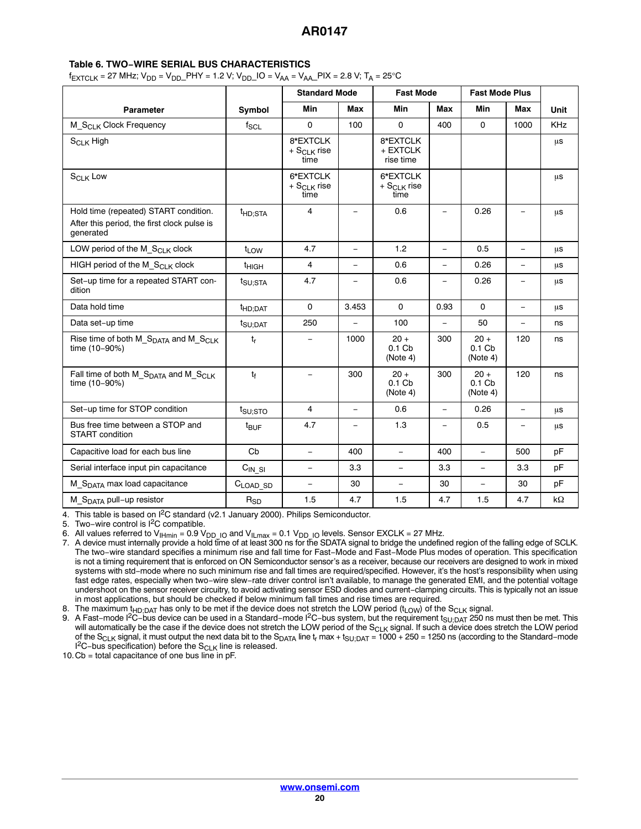#### <span id="page-19-0"></span>**Table 6. TWO−WIRE SERIAL BUS CHARACTERISTICS**

 $f_{\text{EXTCLK}} = 27 \text{ MHz}$ ;  $V_{\text{DD}} = V_{\text{DD}}$  PHY = 1.2 V;  $V_{\text{DD}}$  IO =  $V_{\text{AA}} = V_{\text{AA}}$  PIX = 2.8 V;  $T_A = 25^{\circ}\text{C}$ 

|                                                                                                   |                       | <b>Standard Mode</b>                          |                          | <b>Fast Mode</b>                        |               | <b>Fast Mode Plus</b>                   |                          |             |
|---------------------------------------------------------------------------------------------------|-----------------------|-----------------------------------------------|--------------------------|-----------------------------------------|---------------|-----------------------------------------|--------------------------|-------------|
| <b>Parameter</b>                                                                                  | Symbol                | Min                                           | Max                      | Min                                     | Max           | <b>Min</b>                              | Max                      | <b>Unit</b> |
| M_S <sub>CLK</sub> Clock Frequency                                                                | $f_{\rm SCL}$         | $\Omega$                                      | 100                      | $\mathbf 0$                             | 400           | 0                                       | 1000                     | KHz         |
| $S_{Cl K}$ High                                                                                   |                       | 8*EXTCLK<br>$+$ S <sub>CLK</sub> rise<br>time |                          | 8*EXTCLK<br>+ EXTCLK<br>rise time       |               |                                         |                          | μs          |
| S <sub>CLK</sub> Low                                                                              |                       | 6*EXTCLK<br>$+$ S <sub>CLK</sub> rise<br>time |                          | 6*EXTCLK<br>$+ S_{CLK}$ rise<br>time    |               |                                         |                          | μs          |
| Hold time (repeated) START condition.<br>After this period, the first clock pulse is<br>generated | <sup>t</sup> HD;STA   | 4                                             | $\overline{\phantom{0}}$ | 0.6                                     | $\equiv$      | 0.26                                    | $\equiv$                 | $\mu s$     |
| LOW period of the M_S <sub>CLK</sub> clock                                                        | t <sub>LOW</sub>      | 4.7                                           | $\equiv$                 | 1.2                                     | $\frac{1}{2}$ | 0.5                                     | ÷                        | μs          |
| HIGH period of the M_S <sub>CLK</sub> clock                                                       | <sup>t</sup> HIGH     | $\overline{4}$                                | $\qquad \qquad -$        | 0.6                                     | $\equiv$      | 0.26                                    | $\overline{\phantom{0}}$ | μs          |
| Set-up time for a repeated START con-<br>dition                                                   | t <sub>SU:STA</sub>   | 4.7                                           |                          | 0.6                                     | L.            | 0.26                                    |                          | μs          |
| Data hold time                                                                                    | t <sub>HD;DAT</sub>   | $\mathbf 0$                                   | 3.453                    | $\mathbf 0$                             | 0.93          | $\Omega$                                | $\overline{\phantom{0}}$ | μs          |
| Data set-up time                                                                                  | t <sub>SU:DAT</sub>   | 250                                           | $\overline{\phantom{0}}$ | 100                                     | L.            | 50                                      | $\equiv$                 | ns          |
| Rise time of both M_S <sub>DATA</sub> and M_S <sub>CLK</sub><br>time (10-90%)                     | $t_{r}$               |                                               | 1000                     | $20 +$<br>0.1 <sub>Ch</sub><br>(Note 4) | 300           | $20 +$<br>0.1 <sub>Ch</sub><br>(Note 4) | 120                      | ns          |
| Fall time of both M_S <sub>DATA</sub> and M_S <sub>CLK</sub><br>time (10-90%)                     | $t_{\rm f}$           | $\overline{\phantom{0}}$                      | 300                      | $20 +$<br>0.1 <sub>cb</sub><br>(Note 4) | 300           | $20 +$<br>0.1 <sub>cb</sub><br>(Note 4) | 120                      | ns          |
| Set-up time for STOP condition                                                                    | t <sub>SU:STO</sub>   | 4                                             | $\equiv$                 | 0.6                                     | Ξ,            | 0.26                                    | $\overline{\phantom{m}}$ | μs          |
| Bus free time between a STOP and<br><b>START</b> condition                                        | $t_{\text{BUF}}$      | 4.7                                           | $\overline{\phantom{0}}$ | 1.3                                     | $\equiv$      | 0.5                                     | ۳                        | $\mu$ s     |
| Capacitive load for each bus line                                                                 | Cb                    | $\overline{\phantom{0}}$                      | 400                      | $\equiv$                                | 400           | $\overline{\phantom{0}}$                | 500                      | pF          |
| Serial interface input pin capacitance                                                            | $CIN_S1$              | $\overline{\phantom{0}}$                      | 3.3                      | $\overline{\phantom{0}}$                | 3.3           | $\overline{\phantom{0}}$                | 3.3                      | pF          |
| M S <sub>DATA</sub> max load capacitance                                                          | $C_{\text{LOAD\_SD}}$ | Ξ.                                            | 30                       | $\overline{\phantom{a}}$                | 30            | $\qquad \qquad -$                       | 30                       | pF          |
| M_S <sub>DATA</sub> pull-up resistor                                                              | $R_{SD}$              | 1.5                                           | 4.7                      | 1.5                                     | 4.7           | 1.5                                     | 4.7                      | kΩ          |

4. This table is based on I<sup>2</sup>C standard (v2.1 January 2000). Philips Semiconductor.

5. Two−wire control is I2C compatible.

6. All values referred to V<sub>IHmin</sub> = 0.9 V<sub>DD IO</sub> and V<sub>ILmax</sub> = 0.1 V<sub>DD IO</sub> levels. Sensor EXCLK = 27 MHz.<br>7. A device must internally provide a hold fime of at least 300 ns for the SDATA signal to bridge the undefined The two−wire standard specifies a minimum rise and fall time for Fast−Mode and Fast−Mode Plus modes of operation. This specification is not a timing requirement that is enforced on ON Semiconductor sensor's as a receiver, because our receivers are designed to work in mixed systems with std−mode where no such minimum rise and fall times are required/specified. However, it's the host's responsibility when using fast edge rates, especially when two−wire slew−rate driver control isn't available, to manage the generated EMI, and the potential voltage undershoot on the sensor receiver circuitry, to avoid activating sensor ESD diodes and current−clamping circuits. This is typically not an issue in most applications, but should be checked if below minimum fall times and rise times are required.

8. The maximum  $t_{HD;DATA}$  has only to be met if the device does not stretch the LOW period ( $t_{LOW}$ ) of the S<sub>CLK</sub> signal.

9. A Fast–mode I<sup>2</sup>C−bus device can be used in a Standard–mode I<sup>2</sup>C−bus system, but the requirement t<sub>SU;DAT</sub> 250 ns must then be met. This will automatically be the case if the device does not stretch the LOW period of the S<sub>CLK</sub> signal. If such a device does stretch the LOW period of the S<sub>CLK</sub> signal, it must output the next data bit to the S<sub>DATA</sub> line t<sub>r</sub> max + t<sub>SU;DAT</sub> = 1000 + 250 = 1250 ns (according to the Standard–mode I<sup>2</sup>C−bus specification) before the S<sub>CLK</sub> line is released.

10.Cb = total capacitance of one bus line in pF.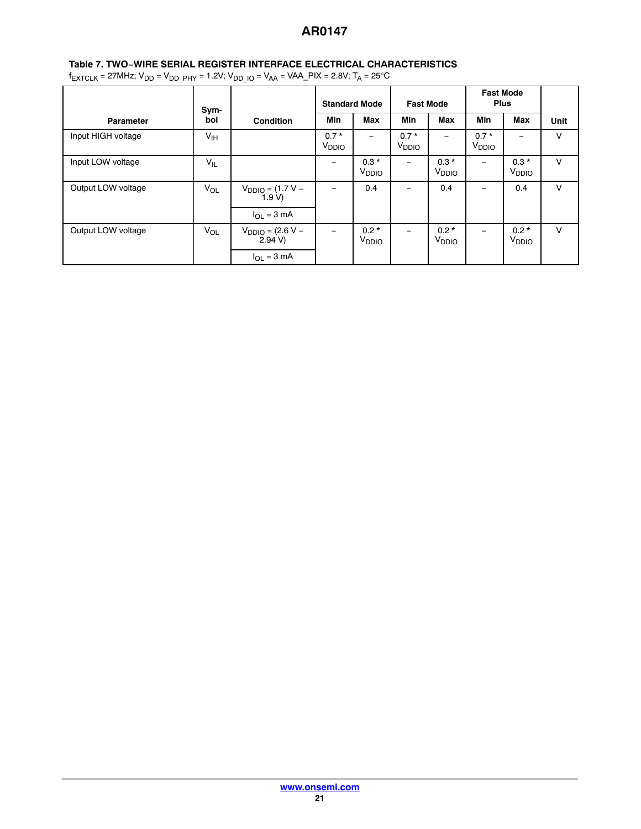# **Table 7. TWO−WIRE SERIAL REGISTER INTERFACE ELECTRICAL CHARACTERISTICS**

 $f_{\text{EXTCLK}} = 27 \text{MHz}$ ;  $V_{\text{DD}} = V_{\text{DD\_PHY}} = 1.2 \text{V}$ ;  $V_{\text{DD\_IO}} = V_{\text{AA}} = \text{VAA\_PIX} = 2.8 \text{V}$ ;  $T_{\text{A}} = 25 \text{°C}$ 

|                    | Sym-            |                                           | <b>Standard Mode</b>        |                             | <b>Fast Mode</b>            |                             | <b>Fast Mode</b><br><b>Plus</b> |                             |        |
|--------------------|-----------------|-------------------------------------------|-----------------------------|-----------------------------|-----------------------------|-----------------------------|---------------------------------|-----------------------------|--------|
| <b>Parameter</b>   | bol             | <b>Condition</b>                          | Min                         | <b>Max</b>                  | <b>Min</b>                  | <b>Max</b>                  | <b>Min</b>                      | <b>Max</b>                  | Unit   |
| Input HIGH voltage | $V_{\text{IH}}$ |                                           | $0.7*$<br>V <sub>DDIO</sub> |                             | $0.7*$<br>V <sub>DDIO</sub> |                             | $0.7*$<br>V <sub>DDIO</sub>     |                             | $\vee$ |
| Input LOW voltage  | $V_{IL}$        |                                           | -                           | $0.3*$<br>V <sub>DDIO</sub> | -                           | $0.3*$<br>V <sub>DDIO</sub> | -                               | $0.3*$<br>V <sub>DDIO</sub> | $\vee$ |
| Output LOW voltage | VOL             | $V_{DDIO} = (1.7 V –$<br>1.9 V            | -                           | 0.4                         | -                           | 0.4                         | -                               | 0.4                         | $\vee$ |
|                    |                 | $I_{\Omega}$ = 3 mA                       |                             |                             |                             |                             |                                 |                             |        |
| Output LOW voltage | $V_{OL}$        | $V_{DDIO} = (2.6 V -$<br>$2.94 \text{ V}$ |                             | $0.2*$<br>V <sub>DDIO</sub> |                             | $0.2*$<br>V <sub>DDIO</sub> |                                 | $0.2*$<br>V <sub>DDIO</sub> | $\vee$ |
|                    |                 | $I_{OL} = 3 mA$                           |                             |                             |                             |                             |                                 |                             |        |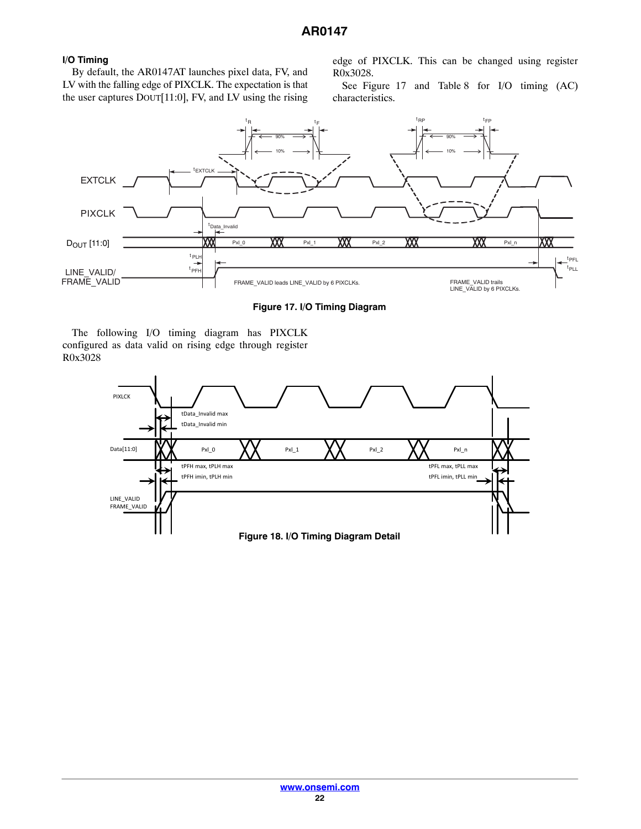# **I/O Timing**

By default, the AR0147AT launches pixel data, FV, and LV with the falling edge of PIXCLK. The expectation is that the user captures DOUT[11:0], FV, and LV using the rising edge of PIXCLK. This can be changed using register R0x3028.

See Figure 17 and Table [8](#page-22-0) for I/O timing (AC) characteristics.



**Figure 17. I/O Timing Diagram**

The following I/O timing diagram has PIXCLK configured as data valid on rising edge through register R0x3028

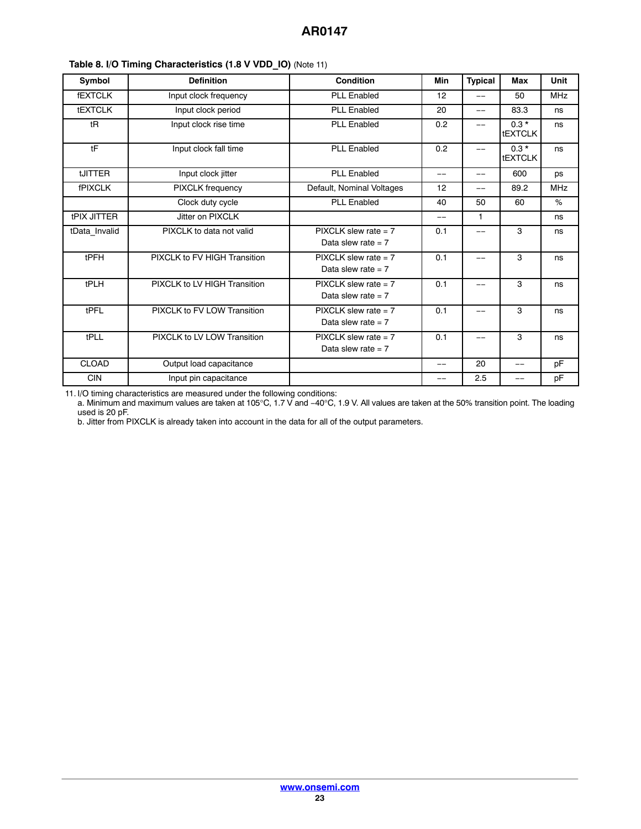| Symbol             | <b>Definition</b>            | <b>Condition</b>                                | Min   | <b>Typical</b>    | <b>Max</b>               | Unit       |
|--------------------|------------------------------|-------------------------------------------------|-------|-------------------|--------------------------|------------|
| <b>fEXTCLK</b>     | Input clock frequency        | <b>PLL Enabled</b>                              | 12    | $-$               | 50                       | <b>MHz</b> |
| <b>tEXTCLK</b>     | Input clock period           | <b>PLL Enabled</b>                              | 20    | $\qquad \qquad -$ | 83.3                     | ns         |
| tR                 | Input clock rise time        | <b>PLL Enabled</b>                              | 0.2   | $-$               | $0.3*$<br><b>tEXTCLK</b> | ns         |
| tF                 | Input clock fall time        | <b>PLL Enabled</b>                              | 0.2   | $-$               | $0.3*$<br><b>tEXTCLK</b> | ns         |
| <b>tJITTER</b>     | Input clock jitter           | <b>PLL Enabled</b>                              | $-$   | $-$               | 600                      | ps         |
| <b>fPIXCLK</b>     | PIXCLK frequency             | Default, Nominal Voltages                       | 12    | --                | 89.2                     | <b>MHz</b> |
|                    | Clock duty cycle             | <b>PLL Enabled</b>                              | 40    | 50                | 60                       | %          |
| <b>tPIX JITTER</b> | Jitter on PIXCLK             |                                                 | $-$   | 1                 |                          | ns         |
| tData_Invalid      | PIXCLK to data not valid     | $PIXCLK$ slew rate = 7<br>Data slew rate $= 7$  | 0.1   | --                | 3                        | ns         |
| tPFH               | PIXCLK to FV HIGH Transition | $PIXCLK$ slew rate = 7<br>Data slew rate $= 7$  | 0.1   | --                | 3                        | ns         |
| tPLH               | PIXCLK to LV HIGH Transition | PIXCI K slew rate $= 7$<br>Data slew rate = $7$ | 0.1   | --                | 3                        | ns         |
| tPFL               | PIXCLK to FV LOW Transition  | $PIXCLK$ slew rate = 7<br>Data slew rate $= 7$  | 0.1   | --                | 3                        | ns         |
| tPLL               | PIXCLK to LV LOW Transition  | $PIXCLK$ slew rate = 7<br>Data slew rate $= 7$  | 0.1   | --                | 3                        | ns         |
| <b>CLOAD</b>       | Output load capacitance      |                                                 | $- -$ | 20                | --                       | pF         |
| <b>CIN</b>         | Input pin capacitance        |                                                 |       | 2.5               | --                       | pF         |

<span id="page-22-0"></span>**Table 8. I/O Timing Characteristics (1.8 V VDD\_IO)** (Note 11)

11. I/O timing characteristics are measured under the following conditions:

a. Minimum and maximum values are taken at 105°C, 1.7 V and −40°C, 1.9 V. All values are taken at the 50% transition point. The loading used is 20 pF.

b. Jitter from PIXCLK is already taken into account in the data for all of the output parameters.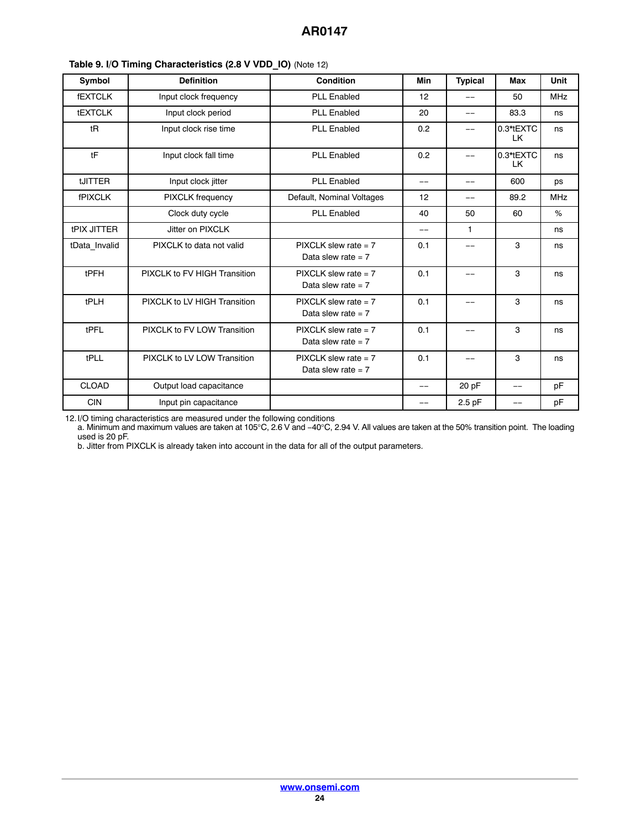| Symbol             | <b>Definition</b>            | Condition                                       | Min | <b>Typical</b> | Max              | Unit       |
|--------------------|------------------------------|-------------------------------------------------|-----|----------------|------------------|------------|
| <b>fEXTCLK</b>     | Input clock frequency        | <b>PLL Enabled</b>                              | 12  |                | 50               | <b>MHz</b> |
| <b>tEXTCLK</b>     | Input clock period           | <b>PLL Enabled</b>                              | 20  | $-$            | 83.3             | ns         |
| tR                 | Input clock rise time        | <b>PLL Enabled</b>                              | 0.2 | $-$            | 0.3*tEXTC<br>LK. | ns         |
| tF                 | Input clock fall time        | <b>PLL Enabled</b>                              | 0.2 | $-$            | 0.3*tEXTC<br>LK. | ns         |
| tJITTER            | Input clock jitter           | <b>PLL Enabled</b>                              | --  |                | 600              | ps         |
| <b>fPIXCLK</b>     | <b>PIXCLK</b> frequency      | Default, Nominal Voltages                       | 12  | --             | 89.2             | <b>MHz</b> |
|                    | Clock duty cycle             | <b>PLL Enabled</b>                              | 40  | 50             | 60               | %          |
| <b>tPIX JITTER</b> | Jitter on PIXCLK             |                                                 | $-$ | $\mathbf{1}$   |                  | ns         |
| tData_Invalid      | PIXCLK to data not valid     | $PIXCLK$ slew rate = 7<br>Data slew rate $= 7$  | 0.1 |                | 3                | ns         |
| tPFH               | PIXCLK to FV HIGH Transition | $PIXCLK$ slew rate = 7<br>Data slew rate $= 7$  | 0.1 |                | 3                | ns         |
| tPLH               | PIXCLK to LV HIGH Transition | PIXCI K slew rate $= 7$<br>Data slew rate $= 7$ | 0.1 |                | 3                | ns         |
| tPFL               | PIXCLK to FV LOW Transition  | $PIXCLK$ slew rate = 7<br>Data slew rate $= 7$  | 0.1 |                | 3                | ns         |
| tPLL               | PIXCLK to LV LOW Transition  | $PIXCLK$ slew rate = 7<br>Data slew rate $= 7$  | 0.1 |                | 3                | ns         |
| <b>CLOAD</b>       | Output load capacitance      |                                                 | $-$ | 20 pF          | $-$              | pF         |
| <b>CIN</b>         | Input pin capacitance        |                                                 | --  | 2.5 pF         |                  | pF         |

## **Table 9. I/O Timing Characteristics (2.8 V VDD\_IO)** (Note 12)

12.I/O timing characteristics are measured under the following conditions

a. Minimum and maximum values are taken at 105°C, 2.6 V and −40°C, 2.94 V. All values are taken at the 50% transition point. The loading used is 20 pF.

b. Jitter from PIXCLK is already taken into account in the data for all of the output parameters.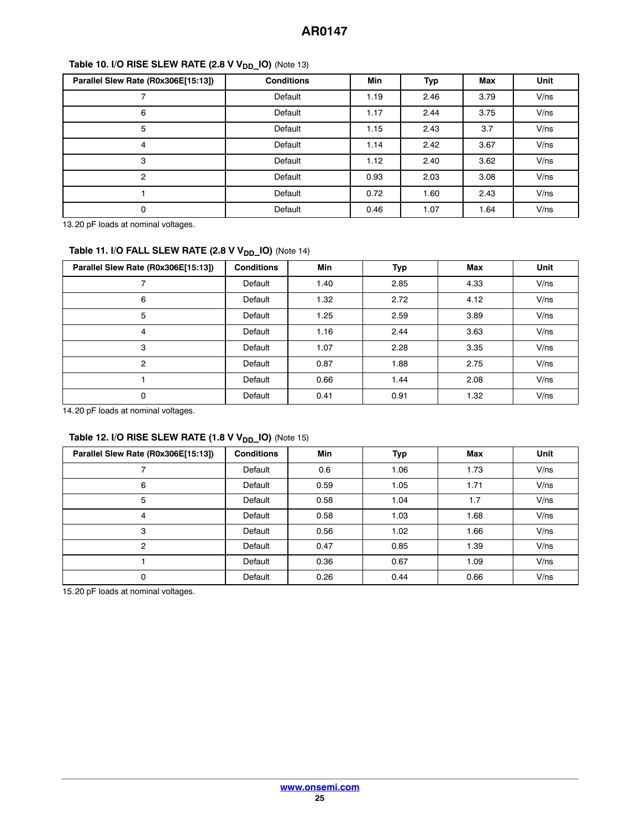# **Table 10. I/O RISE SLEW RATE (2.8 V V<sub>DD</sub>\_IO)** (Note 13)

| Parallel Slew Rate (R0x306E[15:13]) | <b>Conditions</b> | <b>Min</b> | Typ  | <b>Max</b> | Unit |
|-------------------------------------|-------------------|------------|------|------------|------|
|                                     | Default           | 1.19       | 2.46 | 3.79       | V/ns |
| 6                                   | Default           | 1.17       | 2.44 | 3.75       | V/ns |
| 5                                   | Default           | 1.15       | 2.43 | 3.7        | V/ns |
| 4                                   | Default           | 1.14       | 2.42 | 3.67       | V/ns |
| 3                                   | Default           | 1.12       | 2.40 | 3.62       | V/ns |
| $\mathcal{P}$                       | Default           | 0.93       | 2.03 | 3.08       | V/ns |
|                                     | Default           | 0.72       | 1.60 | 2.43       | V/ns |
| 0                                   | Default           | 0.46       | 1.07 | 1.64       | V/ns |

13.20 pF loads at nominal voltages.

# Table 11. I/O FALL SLEW RATE (2.8 V V<sub>DD\_</sub>IO) (Note 14)

| Parallel Slew Rate (R0x306E[15:13]) | <b>Conditions</b> | Min  | Typ  | Max  | Unit |
|-------------------------------------|-------------------|------|------|------|------|
|                                     | Default           | 1.40 | 2.85 | 4.33 | V/ns |
| 6                                   | Default           | 1.32 | 2.72 | 4.12 | V/ns |
| 5                                   | Default           | 1.25 | 2.59 | 3.89 | V/ns |
| 4                                   | Default           | 1.16 | 2.44 | 3.63 | V/ns |
| 3                                   | Default           | 1.07 | 2.28 | 3.35 | V/ns |
| 2                                   | Default           | 0.87 | 1.88 | 2.75 | V/ns |
|                                     | Default           | 0.66 | 1.44 | 2.08 | V/ns |
| 0                                   | Default           | 0.41 | 0.91 | 1.32 | V/ns |

14.20 pF loads at nominal voltages.

# Table 12. I/O RISE SLEW RATE (1.8 V V<sub>DD\_</sub>IO) (Note 15)

| Parallel Slew Rate (R0x306E[15:13]) | <b>Conditions</b> | <b>Min</b> | Typ  | <b>Max</b> | Unit |
|-------------------------------------|-------------------|------------|------|------------|------|
|                                     | Default           | 0.6        | 1.06 | 1.73       | V/ns |
| 6                                   | Default           | 0.59       | 1.05 | 1.71       | V/ns |
| 5                                   | Default           | 0.58       | 1.04 | 1.7        | V/ns |
| 4                                   | Default           | 0.58       | 1.03 | 1.68       | V/ns |
| 3                                   | Default           | 0.56       | 1.02 | 1.66       | V/ns |
| 2                                   | Default           | 0.47       | 0.85 | 1.39       | V/ns |
|                                     | Default           | 0.36       | 0.67 | 1.09       | V/ns |
| $\Omega$                            | Default           | 0.26       | 0.44 | 0.66       | V/ns |

15.20 pF loads at nominal voltages.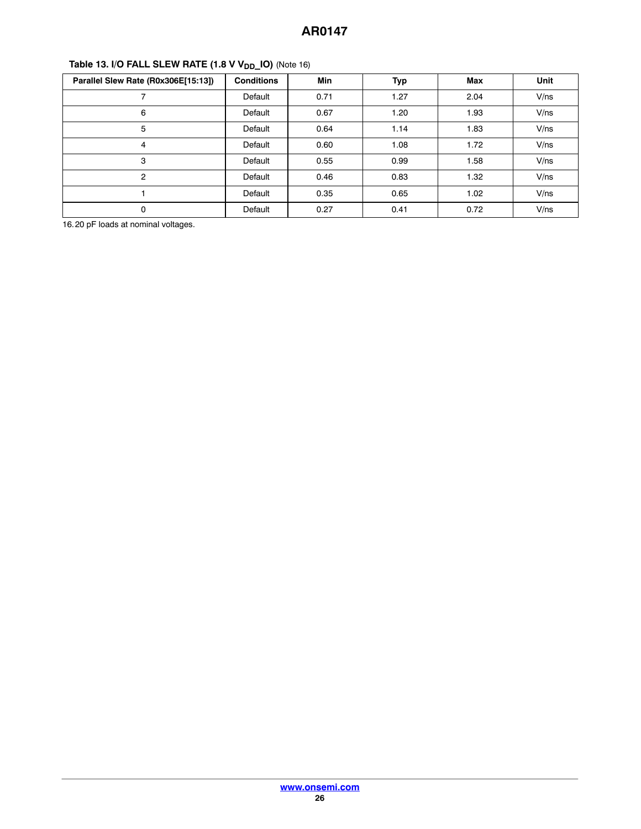| Parallel Slew Rate (R0x306E[15:13]) | <b>Conditions</b> | <b>Min</b> | Typ  | <b>Max</b> | <b>Unit</b> |
|-------------------------------------|-------------------|------------|------|------------|-------------|
|                                     | Default           | 0.71       | 1.27 | 2.04       | V/ns        |
| 6                                   | Default           | 0.67       | 1.20 | 1.93       | V/ns        |
| 5                                   | Default           | 0.64       | 1.14 | 1.83       | V/ns        |
| 4                                   | Default           | 0.60       | 1.08 | 1.72       | V/ns        |
| 3                                   | Default           | 0.55       | 0.99 | 1.58       | V/ns        |
| $\overline{2}$                      | Default           | 0.46       | 0.83 | 1.32       | V/ns        |
|                                     | Default           | 0.35       | 0.65 | 1.02       | V/ns        |
| $\mathbf 0$                         | Default           | 0.27       | 0.41 | 0.72       | V/ns        |

# Table 13. I/O FALL SLEW RATE (1.8 V V<sub>DD</sub>\_IO) (Note 16)

16.20 pF loads at nominal voltages.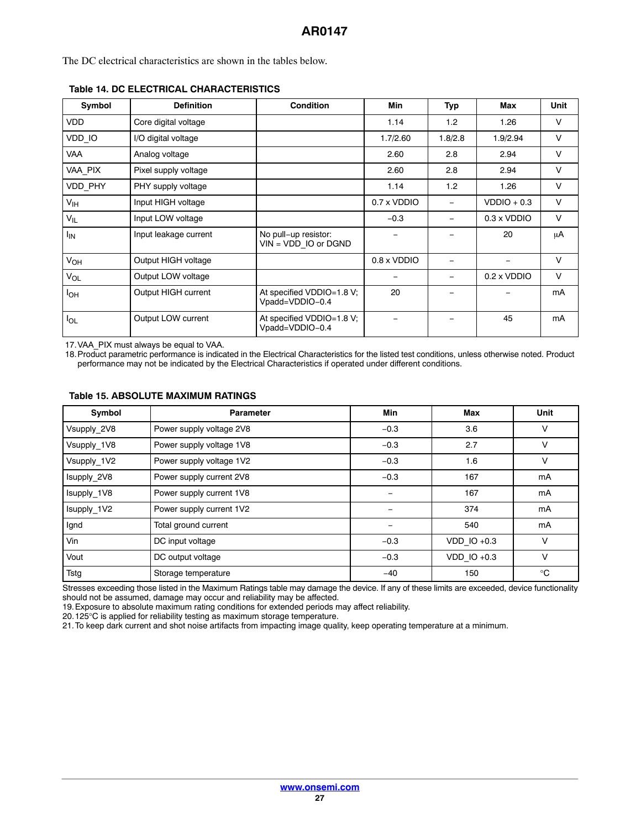The DC electrical characteristics are shown in the tables below.

| Symbol          | <b>Definition</b>     | <b>Condition</b>                               | Min                | Typ                      | Max                | <b>Unit</b> |
|-----------------|-----------------------|------------------------------------------------|--------------------|--------------------------|--------------------|-------------|
| <b>VDD</b>      | Core digital voltage  |                                                | 1.14               | 1.2                      | 1.26               | $\vee$      |
| VDD_IO          | I/O digital voltage   |                                                | 1.7/2.60           | 1.8/2.8                  | 1.9/2.94           | $\vee$      |
| <b>VAA</b>      | Analog voltage        |                                                | 2.60               | 2.8                      | 2.94               | $\vee$      |
| VAA PIX         | Pixel supply voltage  |                                                | 2.60               | 2.8                      | 2.94               | $\vee$      |
| VDD_PHY         | PHY supply voltage    |                                                | 1.14               | 1.2                      | 1.26               | $\vee$      |
| V <sub>IH</sub> | Input HIGH voltage    |                                                | 0.7 x VDDIO        | -                        | $VDDO + 0.3$       | $\vee$      |
| $V_{IL}$        | Input LOW voltage     |                                                | $-0.3$             | $\overline{\phantom{0}}$ | $0.3 \times VDDIO$ | $\vee$      |
| <sup>I</sup> IN | Input leakage current | No pull-up resistor:<br>$VIN = VDD$ IO or DGND |                    |                          | 20                 | μA          |
| $V_{OH}$        | Output HIGH voltage   |                                                | $0.8 \times VDDIO$ |                          |                    | $\vee$      |
| $V_{OL}$        | Output LOW voltage    |                                                |                    |                          | $0.2 \times VDDIO$ | $\vee$      |
| $I_{OH}$        | Output HIGH current   | At specified VDDIO=1.8 V;<br>Vpadd=VDDIO-0.4   | 20                 |                          |                    | mA          |
| $I_{OL}$        | Output LOW current    | At specified VDDIO=1.8 V;<br>Vpadd=VDDIO-0.4   |                    |                          | 45                 | mA          |

## **Table 14. DC ELECTRICAL CHARACTERISTICS**

17.VAA\_PIX must always be equal to VAA.

18.Product parametric performance is indicated in the Electrical Characteristics for the listed test conditions, unless otherwise noted. Product performance may not be indicated by the Electrical Characteristics if operated under different conditions.

| Symbol      | <b>Parameter</b>         | <b>Min</b> | Max             | Unit         |
|-------------|--------------------------|------------|-----------------|--------------|
| Vsupply_2V8 | Power supply voltage 2V8 | $-0.3$     | 3.6             | $\vee$       |
| Vsupply 1V8 | Power supply voltage 1V8 | $-0.3$     | 2.7             | v            |
| Vsupply_1V2 | Power supply voltage 1V2 | $-0.3$     | 1.6             | $\vee$       |
| Isupply_2V8 | Power supply current 2V8 | $-0.3$     | 167             | mA           |
| Isupply 1V8 | Power supply current 1V8 |            | 167             | mA           |
| Isupply_1V2 | Power supply current 1V2 |            | 374             | mA           |
| Ignd        | Total ground current     |            | 540             | mA           |
| Vin         | DC input voltage         | $-0.3$     | $VDD$ IO +0.3   | $\vee$       |
| Vout        | DC output voltage        | $-0.3$     | $VDD$ IO $+0.3$ | $\vee$       |
| Tstg        | Storage temperature      | $-40$      | 150             | $^{\circ}$ C |

#### **Table 15. ABSOLUTE MAXIMUM RATINGS**

Stresses exceeding those listed in the Maximum Ratings table may damage the device. If any of these limits are exceeded, device functionality should not be assumed, damage may occur and reliability may be affected.

19.Exposure to absolute maximum rating conditions for extended periods may affect reliability.

20.125°C is applied for reliability testing as maximum storage temperature.

21.To keep dark current and shot noise artifacts from impacting image quality, keep operating temperature at a minimum.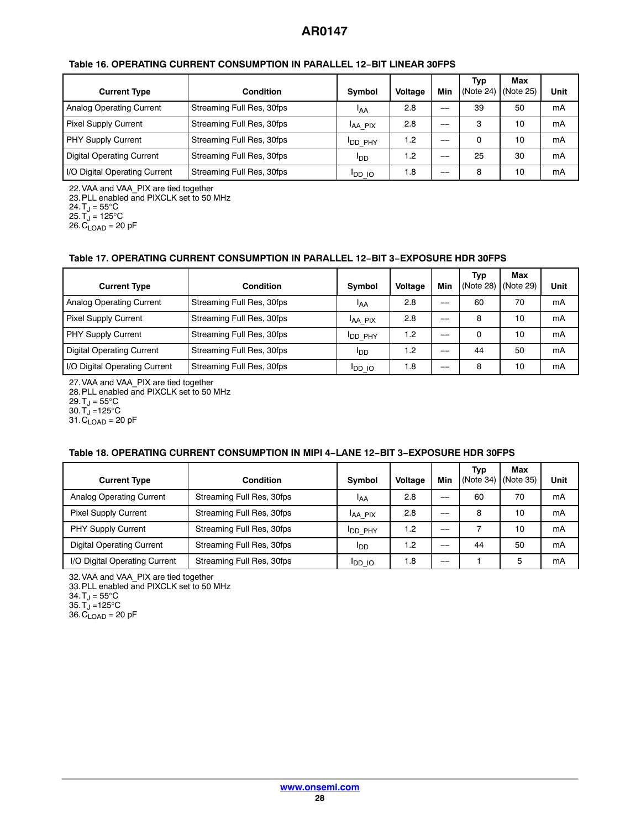| <b>Current Type</b>              | <b>Condition</b>          | Symbol         | <b>Voltage</b> | Min | Typ<br>(Note 24) | Max<br>(Note 25) | Unit |
|----------------------------------|---------------------------|----------------|----------------|-----|------------------|------------------|------|
| Analog Operating Current         | Streaming Full Res, 30fps | IAA            | 2.8            | $-$ | 39               | 50               | mA   |
| <b>Pixel Supply Current</b>      | Streaming Full Res, 30fps | IAA PIX        | 2.8            | --  | 3                | 10               | mA   |
| <b>PHY Supply Current</b>        | Streaming Full Res, 30fps | <b>IDD PHY</b> | 1.2            | $-$ | 0                | 10               | mA   |
| <b>Digital Operating Current</b> | Streaming Full Res, 30fps | <b>I</b> DD    | 1.2            | --  | 25               | 30               | mA   |
| I/O Digital Operating Current    | Streaming Full Res, 30fps | <b>OI QU</b>   | 1.8            | --  | 8                | 10               | mA   |

#### **Table 16. OPERATING CURRENT CONSUMPTION IN PARALLEL 12−BIT LINEAR 30FPS**

22.VAA and VAA\_PIX are tied together

23.PLL enabled and PIXCLK set to 50 MHz

24. T $_{\textrm{J}}$  = 55°C

25. $T_J$  = 125°C

 $26.C<sub>LOAD</sub> = 20 pF$ 

#### **Table 17. OPERATING CURRENT CONSUMPTION IN PARALLEL 12−BIT 3−EXPOSURE HDR 30FPS**

| <b>Current Type</b>              | <b>Condition</b>          | Symbol         | <b>Voltage</b> | Min | Typ<br>(Note 28) (Note 29) | Max | Unit |
|----------------------------------|---------------------------|----------------|----------------|-----|----------------------------|-----|------|
| Analog Operating Current         | Streaming Full Res, 30fps | IAA            | 2.8            | --  | 60                         | 70  | mA   |
| <b>Pixel Supply Current</b>      | Streaming Full Res, 30fps | IAA PIX        | 2.8            | __  | 8                          | 10  | mA   |
| PHY Supply Current               | Streaming Full Res, 30fps | <b>IDD PHY</b> | 1.2            | $-$ | $\Omega$                   | 10  | mA   |
| <b>Digital Operating Current</b> | Streaming Full Res, 30fps | <b>I</b> DD    | 1.2            |     | 44                         | 50  | mA   |
| I/O Digital Operating Current    | Streaming Full Res, 30fps | <b>IDD IO</b>  | 1.8            |     | 8                          | 10  | mA   |

27.VAA and VAA\_PIX are tied together

28.PLL enabled and PIXCLK set to 50 MHz

29. T $_J = 55^{\circ}$ C

30.  $T_J = 125$ °C

 $31.C<sub>LOAD</sub> = 20 pF$ 

## **Table 18. OPERATING CURRENT CONSUMPTION IN MIPI 4−LANE 12−BIT 3−EXPOSURE HDR 30FPS**

| <b>Current Type</b>              | <b>Condition</b>          | <b>Symbol</b>   | <b>Voltage</b> | <b>Min</b> | Typ<br>(Note 34) | Max<br>(Note 35) | Unit |
|----------------------------------|---------------------------|-----------------|----------------|------------|------------------|------------------|------|
| Analog Operating Current         | Streaming Full Res, 30fps | IAA             | 2.8            | --         | 60               | 70               | mA   |
| <b>Pixel Supply Current</b>      | Streaming Full Res, 30fps | <b>AA PIX</b>   | 2.8            | --         | 8                | 10               | mA   |
| PHY Supply Current               | Streaming Full Res, 30fps | <b>I</b> DD PHY | 1.2            | $-$        |                  | 10               | mA   |
| <b>Digital Operating Current</b> | Streaming Full Res, 30fps | l <sub>DD</sub> | 1.2            | $-$        | 44               | 50               | mA   |
| I/O Digital Operating Current    | Streaming Full Res, 30fps | <b>IDD IO</b>   | 1.8            | --         |                  | 5                | mA   |

32.VAA and VAA\_PIX are tied together

33.PLL enabled and PIXCLK set to 50 MHz

34.  $T_J = 55^{\circ}C$ 

 $35. T_J = 125$ °C

 $36.C<sub>LOAD</sub> = 20 pF$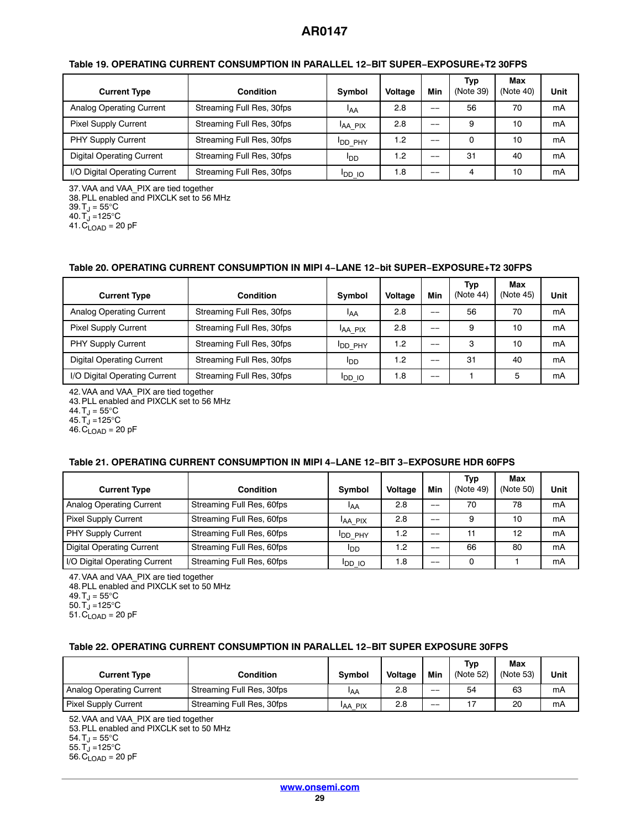| <b>Current Type</b>              | <b>Condition</b>          | <b>Symbol</b>   | <b>Voltage</b>   | Min   | Typ<br>(Note 39) | Max<br>(Note 40) | Unit |
|----------------------------------|---------------------------|-----------------|------------------|-------|------------------|------------------|------|
| Analog Operating Current         | Streaming Full Res, 30fps | <b>IAA</b>      | 2.8              | $- -$ | 56               | 70               | mA   |
| <b>Pixel Supply Current</b>      | Streaming Full Res, 30fps | <b>AA PIX</b>   | 2.8              | $-$   | 9                | 10               | mA   |
| PHY Supply Current               | Streaming Full Res, 30fps | <b>IDD PHY</b>  | 1.2              |       | $\Omega$         | 10               | mA   |
| <b>Digital Operating Current</b> | Streaming Full Res, 30fps | l <sub>DD</sub> | $\overline{1.2}$ | --    | 31               | 40               | mA   |
| I/O Digital Operating Current    | Streaming Full Res, 30fps | <b>IDD IO</b>   | 1.8              | --    | 4                | 10               | mA   |

#### <span id="page-28-0"></span>**Table 19. OPERATING CURRENT CONSUMPTION IN PARALLEL 12−BIT SUPER−EXPOSURE+T2 30FPS**

37.VAA and VAA\_PIX are tied together

38.PLL enabled and PIXCLK set to 56 MHz

39. T $_{\textrm{J}}$  = 55°C

40. T $_{\textrm{J}}$  =125°C

 $41.\overline{C}_{LOAD} = 20 \text{ pF}$ 

#### **Table 20. OPERATING CURRENT CONSUMPTION IN MIPI 4−LANE 12−bit SUPER−EXPOSURE+T2 30FPS**

| <b>Current Type</b>              | <b>Condition</b>          | <b>Symbol</b>  | <b>Voltage</b> | Min | Typ<br>(Note 44) | Max<br>(Note 45) | Unit |
|----------------------------------|---------------------------|----------------|----------------|-----|------------------|------------------|------|
| Analog Operating Current         | Streaming Full Res, 30fps | <b>IAA</b>     | 2.8            |     | 56               | 70               | mA   |
| <b>Pixel Supply Current</b>      | Streaming Full Res, 30fps | <b>AA PIX</b>  | 2.8            |     | 9                | 10               | mA   |
| PHY Supply Current               | Streaming Full Res, 30fps | <b>IDD PHY</b> | 1.2            |     | 3                | 10               | mA   |
| <b>Digital Operating Current</b> | Streaming Full Res, 30fps | ססי            | . 2            |     | 31               | 40               | mA   |
| I/O Digital Operating Current    | Streaming Full Res, 30fps | <b>OI QU</b>   | 1.8            |     |                  | 5                | mA   |

42.VAA and VAA\_PIX are tied together

43.PLL enabled and PIXCLK set to 56 MHz

44.  $T_J = 55^{\circ}C$ 

 $45.\overline{T}_J = 125^{\circ}C$ 

 $46$ . C<sub>LOAD</sub> = 20 pF

#### **Table 21. OPERATING CURRENT CONSUMPTION IN MIPI 4−LANE 12−BIT 3−EXPOSURE HDR 60FPS**

| <b>Current Type</b>           | Condition                 | <b>Symbol</b>  | <b>Voltage</b> | Min  | Typ<br>(Note 49) | Max<br>(Note 50) | Unit |
|-------------------------------|---------------------------|----------------|----------------|------|------------------|------------------|------|
| Analog Operating Current      | Streaming Full Res, 60fps | IAA            | 2.8            | $ -$ | 70               | 78               | mA   |
| <b>Pixel Supply Current</b>   | Streaming Full Res, 60fps | IAA PIX        | 2.8            |      | 9                | 10               | mA   |
| PHY Supply Current            | Streaming Full Res, 60fps | <b>IDD PHY</b> | $\cdot$ .2     | $ -$ | 11               | 12               | mA   |
| Digital Operating Current     | Streaming Full Res, 60fps | <b>I</b> DD    | $\cdot$ .2     | $ -$ | 66               | 80               | mA   |
| I/O Digital Operating Current | Streaming Full Res, 60fps | <b>IDD IO</b>  | 8. ا           |      | 0                |                  | mA   |

47.VAA and VAA\_PIX are tied together

48.PLL enabled and PIXCLK set to 50 MHz

49.  $T_J = 55^{\circ}C$ 

50.  $T_{J} = 125^{\circ}C$ 

 $51.\overline{C}_{LOAD} = 20 \text{ pF}$ 

#### **Table 22. OPERATING CURRENT CONSUMPTION IN PARALLEL 12−BIT SUPER EXPOSURE 30FPS**

| <b>Current Type</b>             | Condition                 | Symbol  | Voltage | Min   | <b>Typ</b><br>(Note 52) | Max<br>(Note 53) | Unit |
|---------------------------------|---------------------------|---------|---------|-------|-------------------------|------------------|------|
| <b>Analog Operating Current</b> | Streaming Full Res, 30fps | IAA     | 2.8     | $- -$ | 54                      | 63               | mA   |
| <b>Pixel Supply Current</b>     | Streaming Full Res, 30fps | IAA PIX | 2.8     | $- -$ |                         | 20               | mA   |

[52.](#page-29-0)VAA and VAA\_PIX are tied together

[53.](#page-29-0)PLL enabled and PIXCLK set to 50 MHz

- [54.](#page-29-0)  $T_J = 55^{\circ}C$
- [55.](#page-29-0)  $T_J = 125$ °C

[56.](#page-29-0)  $C_{\text{LOAD}} = 20 \text{ pF}$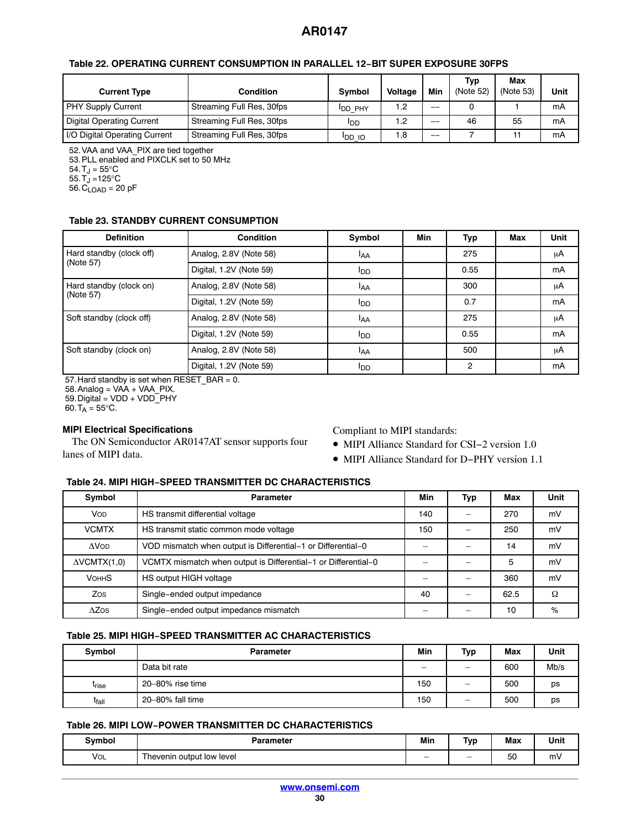## <span id="page-29-0"></span>**Table [22](#page-28-0). OPERATING CURRENT CONSUMPTION IN PARALLEL 12−BIT SUPER EXPOSURE 30FPS**

| <b>Current Type</b>              | Condition                 | Symbol         | Voltage | Min   | Typ<br>(Note 52) | Max<br>(Note 53) | Unit |
|----------------------------------|---------------------------|----------------|---------|-------|------------------|------------------|------|
| PHY Supply Current               | Streaming Full Res, 30fps | <b>IDD PHY</b> | 1.2     | $- -$ |                  |                  | mA   |
| <b>Digital Operating Current</b> | Streaming Full Res, 30fps | <b>I</b> DD    | 2. ا    | $- -$ | 46               | 55               | mA   |
| I/O Digital Operating Current    | Streaming Full Res, 30fps | <b>IDD IO</b>  | 8. ا    | __    |                  |                  | mA   |

52.VAA and VAA\_PIX are tied together

53.PLL enabled and PIXCLK set to 50 MHz

 $54. T_J = 55^{\circ}C$ 

 $55. T_J = 125^{\circ}C$ 

 $56.C_{LOAD} = 20 pF$ 

## **Table 23. STANDBY CURRENT CONSUMPTION**

| <b>Definition</b>                    | <b>Condition</b>        | Symbol                                                                         | Min | Typ  | Max | Unit |
|--------------------------------------|-------------------------|--------------------------------------------------------------------------------|-----|------|-----|------|
| Hard standby (clock off)             | Analog, 2.8V (Note 58)  | <sup>I</sup> AA                                                                |     | 275  |     | μA   |
| (Note 57)                            | Digital, 1.2V (Note 59) | <b>I</b> DD                                                                    |     | 0.55 |     | mA   |
| Hard standby (clock on)<br>(Note 57) | Analog, 2.8V (Note 58)  | I <sub>AA</sub>                                                                |     | 300  |     | μA   |
|                                      | Digital, 1.2V (Note 59) | <b>I</b> DD                                                                    |     | 0.7  |     | mA   |
| Soft standby (clock off)             | Analog, 2.8V (Note 58)  | <sup>I</sup> AA                                                                |     | 275  |     | μA   |
|                                      | Digital, 1.2V (Note 59) | 0.55<br><b>I</b> DD<br>500<br><sup>I</sup> AA<br>$\overline{2}$<br><b>I</b> DD | mA  |      |     |      |
| Soft standby (clock on)              | Analog, 2.8V (Note 58)  |                                                                                |     |      |     | μA   |
|                                      | Digital, 1.2V (Note 59) |                                                                                |     |      |     | mA   |

57.Hard standby is set when RESET\_BAR = 0.

 $58.$  Analog = VAA + VAA\_PIX.

59.Digital = VDD + VDD\_PHY

60. T<sub>A</sub> = 55°C.

## **MIPI Electrical Specifications**

The ON Semiconductor AR0147AT sensor supports four lanes of MIPI data.

## Compliant to MIPI standards:

- MIPI Alliance Standard for CSI−2 version 1.0
- MIPI Alliance Standard for D−PHY version 1.1

## **Table 24. MIPI HIGH−SPEED TRANSMITTER DC CHARACTERISTICS**

| Symbol                 | <b>Parameter</b>                                               | Min | Typ | Max  | <b>Unit</b> |
|------------------------|----------------------------------------------------------------|-----|-----|------|-------------|
| VOD                    | HS transmit differential voltage                               | 140 |     | 270  | mV          |
| <b>VCMTX</b>           | HS transmit static common mode voltage                         | 150 |     | 250  | mV          |
| <b>AVOD</b>            | VOD mismatch when output is Differential-1 or Differential-0   |     |     | 14   | mV          |
| $\triangle VCMTX(1,0)$ | VCMTX mismatch when output is Differential-1 or Differential-0 |     |     | 5    | mV          |
| <b>VOHHS</b>           | HS output HIGH voltage                                         |     |     | 360  | mV          |
| Zos                    | Single-ended output impedance                                  | 40  |     | 62.5 | Ω           |
| $\Delta Z$ OS          | Single-ended output impedance mismatch                         |     |     | 10   | %           |

## **Table 25. MIPI HIGH−SPEED TRANSMITTER AC CHARACTERISTICS**

| Symbol            | <b>Parameter</b> | Min | Typ                      | Max | Unit |
|-------------------|------------------|-----|--------------------------|-----|------|
|                   | Data bit rate    | —   | -                        | 600 | Mb/s |
| <b>T</b> rise     | 20-80% rise time | 150 | -                        | 500 | ps   |
| t <sub>fall</sub> | 20-80% fall time | 150 | $\overline{\phantom{0}}$ | 500 | ps   |

## **Table 26. MIPI LOW−POWER TRANSMITTER DC CHARACTERISTICS**

| Svmbol | arameter                   | Min                      | Tvp                      | Max                 | Unit |
|--------|----------------------------|--------------------------|--------------------------|---------------------|------|
| VOL    | ' hevenin output low level | $\overline{\phantom{0}}$ | $\overline{\phantom{0}}$ | $\sim$<br>51<br>ັບບ | m۷   |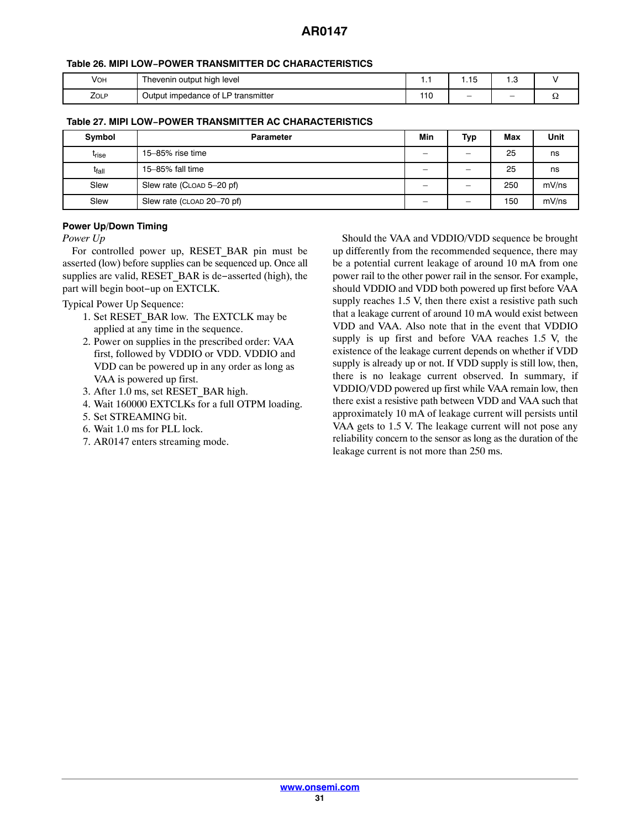# **Table [26](#page-29-0). MIPI LOW−POWER TRANSMITTER DC CHARACTERISTICS**

| Vон  | Thevenin output high level         |     | $\overline{\phantom{a}}$ | ن., |    |
|------|------------------------------------|-----|--------------------------|-----|----|
| ZOLP | Output impedance of LP transmitter | 110 | $\overline{\phantom{0}}$ |     | ee |

# **Table 27. MIPI LOW−POWER TRANSMITTER AC CHARACTERISTICS**

| Symbol            | <b>Parameter</b>           | Min                      | Typ | Max | <b>Unit</b> |
|-------------------|----------------------------|--------------------------|-----|-----|-------------|
| t <sub>rise</sub> | 15-85% rise time           | $\overline{\phantom{0}}$ |     | 25  | ns          |
| t <sub>fall</sub> | 15-85% fall time           | -                        |     | 25  | ns          |
| Slew              | Slew rate (CLOAD 5-20 pf)  | –                        |     | 250 | mV/ns       |
| Slew              | Slew rate (CLOAD 20-70 pf) | _                        |     | 150 | mV/ns       |

# **Power Up/Down Timing**

*Power Up*

For controlled power up, RESET\_BAR pin must be asserted (low) before supplies can be sequenced up. Once all supplies are valid, RESET\_BAR is de–asserted (high), the part will begin boot−up on EXTCLK.

Typical Power Up Sequence:

- 1. Set RESET\_BAR low. The EXTCLK may be applied at any time in the sequence.
- 2. Power on supplies in the prescribed order: VAA first, followed by VDDIO or VDD. VDDIO and VDD can be powered up in any order as long as VAA is powered up first.
- 3. After 1.0 ms, set RESET\_BAR high.
- 4. Wait 160000 EXTCLKs for a full OTPM loading.
- 5. Set STREAMING bit.
- 6. Wait 1.0 ms for PLL lock.
- 7. AR0147 enters streaming mode.

Should the VAA and VDDIO/VDD sequence be brought up differently from the recommended sequence, there may be a potential current leakage of around 10 mA from one power rail to the other power rail in the sensor. For example, should VDDIO and VDD both powered up first before VAA supply reaches 1.5 V, then there exist a resistive path such that a leakage current of around 10 mA would exist between VDD and VAA. Also note that in the event that VDDIO supply is up first and before VAA reaches 1.5 V, the existence of the leakage current depends on whether if VDD supply is already up or not. If VDD supply is still low, then, there is no leakage current observed. In summary, if VDDIO/VDD powered up first while VAA remain low, then there exist a resistive path between VDD and VAA such that approximately 10 mA of leakage current will persists until VAA gets to 1.5 V. The leakage current will not pose any reliability concern to the sensor as long as the duration of the leakage current is not more than 250 ms.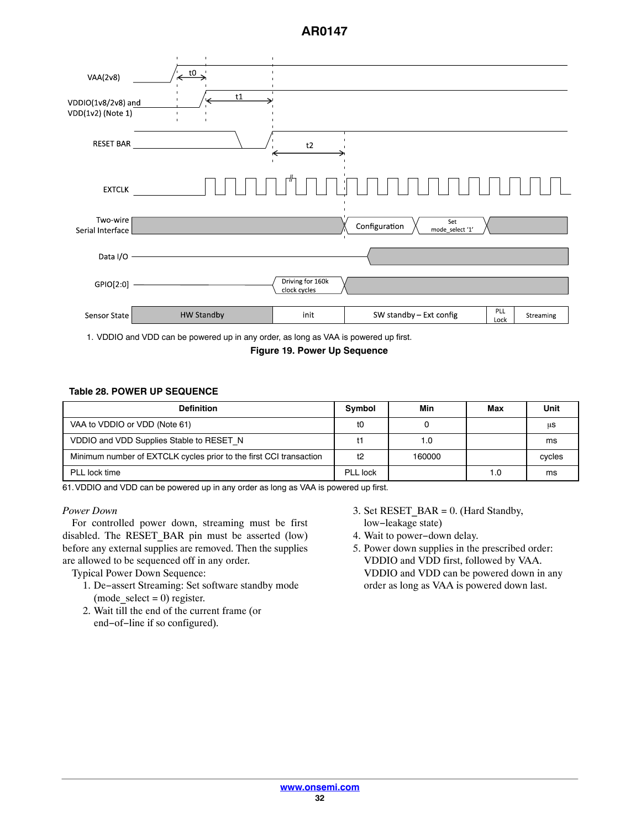

1. VDDIO and VDD can be powered up in any order, as long as VAA is powered up first.

**Figure 19. Power Up Sequence**

#### **Table 28. POWER UP SEQUENCE**

| <b>Definition</b>                                                  | Symbol   | Min    | Max | Unit   |
|--------------------------------------------------------------------|----------|--------|-----|--------|
| VAA to VDDIO or VDD (Note 61)                                      | tO       |        |     | μS     |
| VDDIO and VDD Supplies Stable to RESET N                           |          | 1.0    |     | ms     |
| Minimum number of EXTCLK cycles prior to the first CCI transaction | t2       | 160000 |     | cycles |
| PLL lock time                                                      | PLL lock |        | 1.0 | ms     |

61.VDDIO and VDD can be powered up in any order as long as VAA is powered up first.

#### *Power Down*

For controlled power down, streaming must be first disabled. The RESET\_BAR pin must be asserted (low) before any external supplies are removed. Then the supplies are allowed to be sequenced off in any order.

Typical Power Down Sequence:

- 1. De−assert Streaming: Set software standby mode (mode select = 0) register.
- 2. Wait till the end of the current frame (or end−of−line if so configured).
- 3. Set RESET  $BAR = 0$ . (Hard Standby, low−leakage state)
- 4. Wait to power−down delay.
- 5. Power down supplies in the prescribed order: VDDIO and VDD first, followed by VAA. VDDIO and VDD can be powered down in any order as long as VAA is powered down last.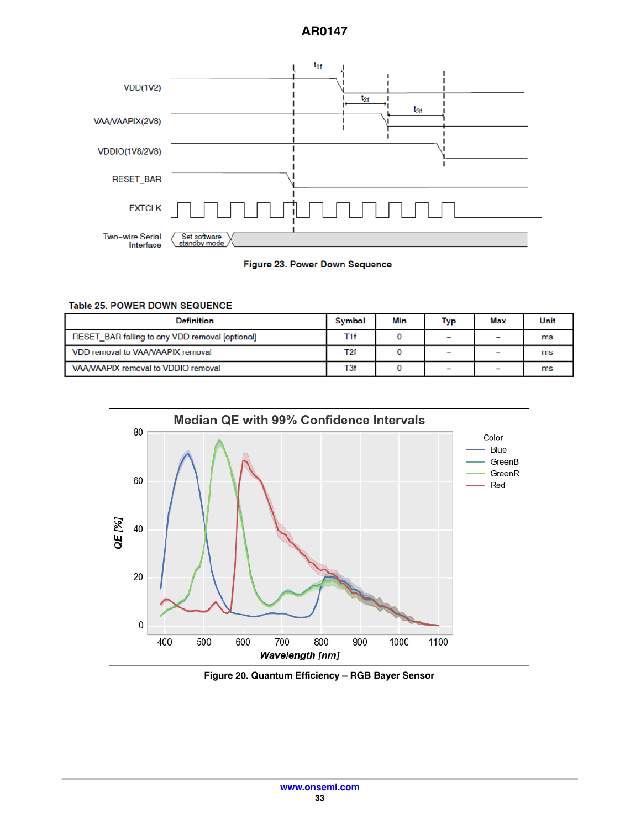



# Table 25. POWER DOWN SEQUENCE

| <b>Definition</b>                               | <b>Symbol</b> | Min | Typ                      | Max | Unit |
|-------------------------------------------------|---------------|-----|--------------------------|-----|------|
| RESET BAR falling to any VDD removal [optional] | T1f           |     | $\overline{\phantom{0}}$ |     | ms   |
| VDD removal to VAA/VAAPIX removal               | T2f           |     | $\overline{\phantom{0}}$ |     | ms   |
| VAA/VAAPIX removal to VDDIO removal             | T3f           |     | $\overline{\phantom{0}}$ |     | ms   |



**Figure 20. Quantum Efficiency – RGB Bayer Sensor**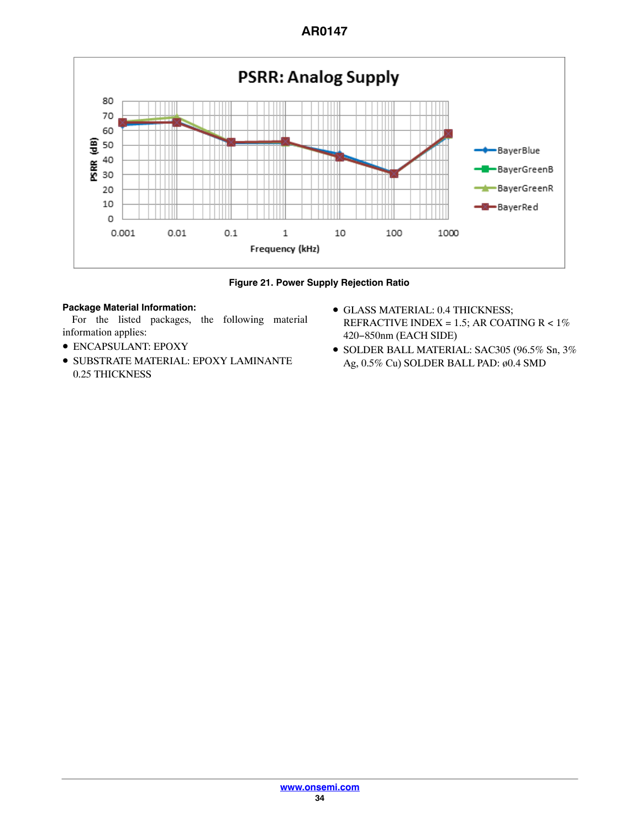

**Figure 21. Power Supply Rejection Ratio**

# **Package Material Information:**

For the listed packages, the following material information applies:

- ENCAPSULANT: EPOXY
- SUBSTRATE MATERIAL: EPOXY LAMINANTE 0.25 THICKNESS
- GLASS MATERIAL: 0.4 THICKNESS; REFRACTIVE INDEX = 1.5; AR COATING  $R < 1\%$ 420−850nm (EACH SIDE)
- SOLDER BALL MATERIAL: SAC305 (96.5% Sn, 3% Ag, 0.5% Cu) SOLDER BALL PAD: ø0.4 SMD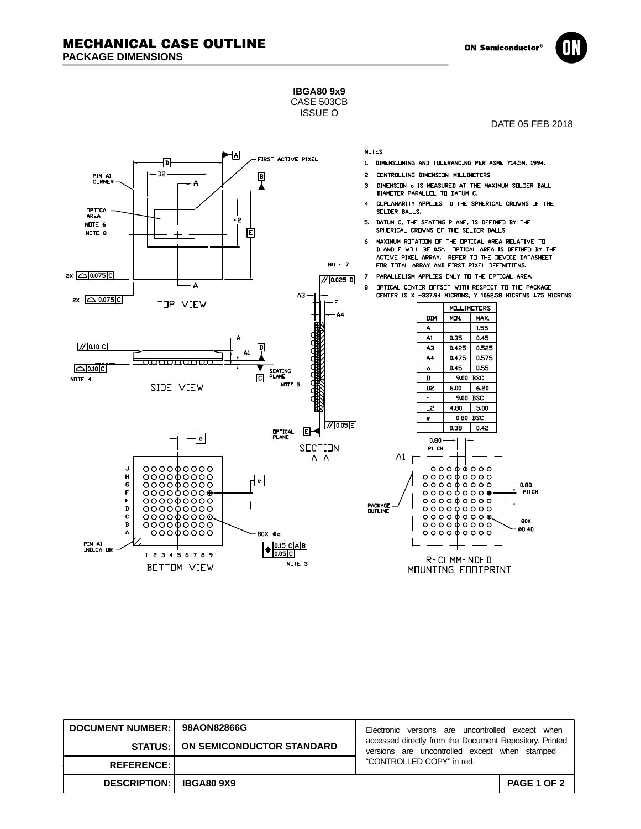**ON Semiconductor** 



**IBGA80 9x9** CASE 503CB

ISSUE O



| DOCUMENT NUMBER:   98AON82866G   |                                            | Electronic versions are uncontrolled except when                                                         |             |
|----------------------------------|--------------------------------------------|----------------------------------------------------------------------------------------------------------|-------------|
|                                  | <b>STATUS:   ON SEMICONDUCTOR STANDARD</b> | accessed directly from the Document Repository. Printed<br>versions are uncontrolled except when stamped |             |
| <b>REFERENCE: I</b>              |                                            | "CONTROLLED COPY" in red.                                                                                |             |
| <b>DESCRIPTION:   IBGA80 9X9</b> |                                            |                                                                                                          | PAGE 1 OF 2 |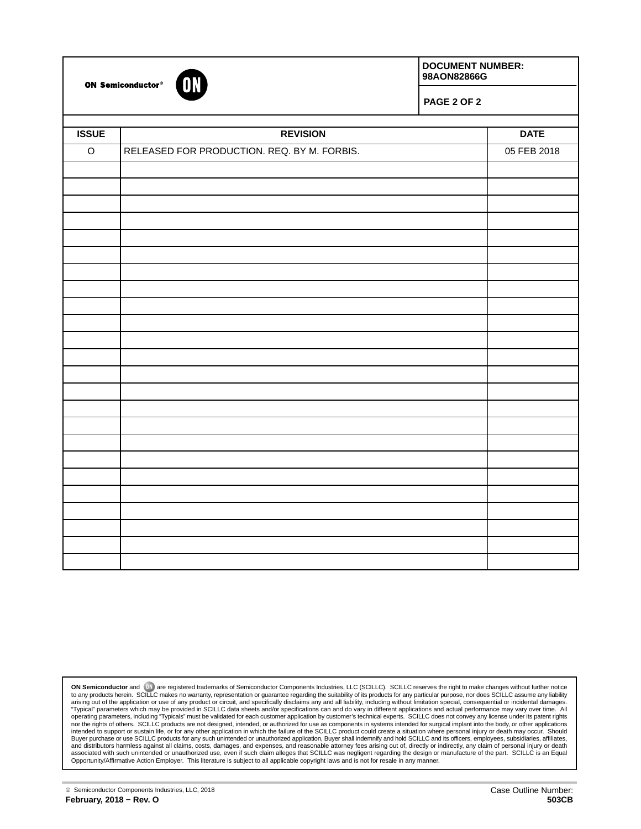

ON Semiconductor®

**DOCUMENT NUMBER: 98AON82866G**

**PAGE 2 OF 2**

| <b>ISSUE</b> | <b>REVISION</b>                             | <b>DATE</b> |
|--------------|---------------------------------------------|-------------|
|              |                                             |             |
| $\mathsf O$  | RELEASED FOR PRODUCTION. REQ. BY M. FORBIS. | 05 FEB 2018 |
|              |                                             |             |
|              |                                             |             |
|              |                                             |             |
|              |                                             |             |
|              |                                             |             |
|              |                                             |             |
|              |                                             |             |
|              |                                             |             |
|              |                                             |             |
|              |                                             |             |
|              |                                             |             |
|              |                                             |             |
|              |                                             |             |
|              |                                             |             |
|              |                                             |             |
|              |                                             |             |
|              |                                             |             |
|              |                                             |             |
|              |                                             |             |
|              |                                             |             |
|              |                                             |             |
|              |                                             |             |
|              |                                             |             |
|              |                                             |             |

**ON Semiconductor and the are registered trademarks of Semiconductor Components Industries, LLC (SCILLC). SCILLC reserves the right to make changes without further notice<br>to any products herein. SCILLC makes no warranty, r**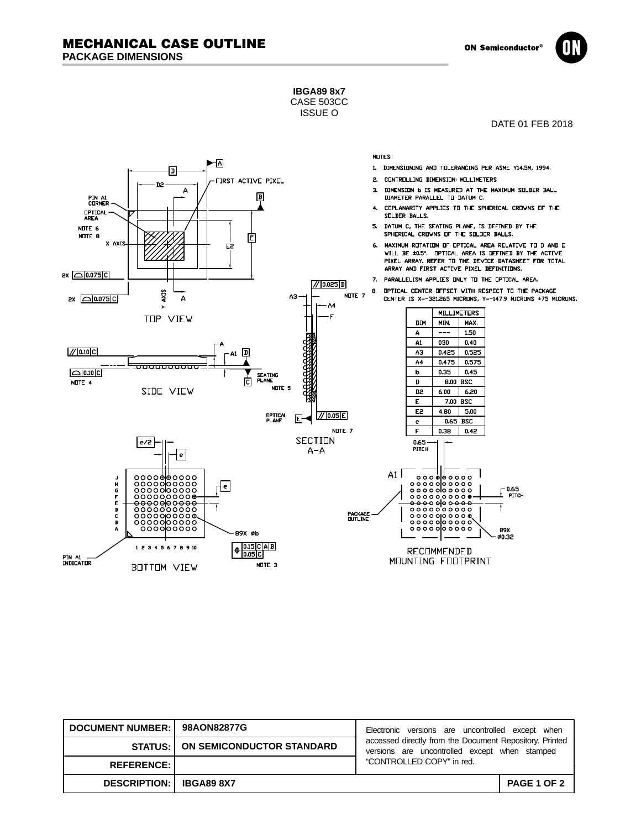**ON Semiconductor** 



**IBGA89 8x7** CASE 503CC

ISSUE O

DATE 01 FEB 2018



| DOCUMENT NUMBER: 98AON82877G     |                                            | Electronic versions are uncontrolled except when                                                         |                    |
|----------------------------------|--------------------------------------------|----------------------------------------------------------------------------------------------------------|--------------------|
|                                  | <b>STATUS:   ON SEMICONDUCTOR STANDARD</b> | accessed directly from the Document Repository. Printed<br>versions are uncontrolled except when stamped |                    |
| <b>REFERENCE: I</b>              |                                            | "CONTROLLED COPY" in red.                                                                                |                    |
| <b>DESCRIPTION:   IBGA89 8X7</b> |                                            |                                                                                                          | <b>PAGE 1 OF 2</b> |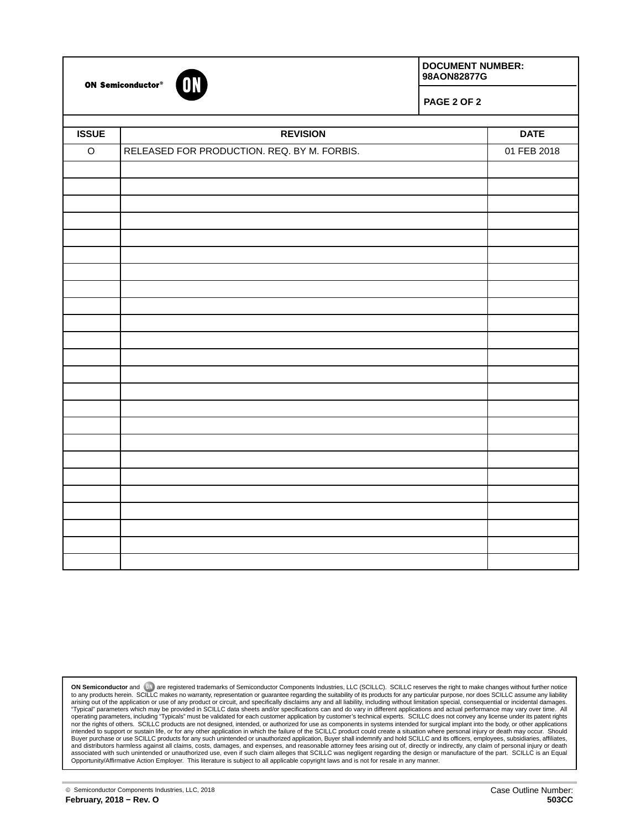

ON Semiconductor®

**DOCUMENT NUMBER: 98AON82877G**

**PAGE 2 OF 2**

| <b>ISSUE</b> |                                             | <b>DATE</b> |
|--------------|---------------------------------------------|-------------|
|              | <b>REVISION</b>                             |             |
| $\mathsf O$  | RELEASED FOR PRODUCTION. REQ. BY M. FORBIS. | 01 FEB 2018 |
|              |                                             |             |
|              |                                             |             |
|              |                                             |             |
|              |                                             |             |
|              |                                             |             |
|              |                                             |             |
|              |                                             |             |
|              |                                             |             |
|              |                                             |             |
|              |                                             |             |
|              |                                             |             |
|              |                                             |             |
|              |                                             |             |
|              |                                             |             |
|              |                                             |             |
|              |                                             |             |
|              |                                             |             |
|              |                                             |             |
|              |                                             |             |
|              |                                             |             |
|              |                                             |             |
|              |                                             |             |
|              |                                             |             |
|              |                                             |             |

**ON Semiconductor and the are registered trademarks of Semiconductor Components Industries, LLC (SCILLC). SCILLC reserves the right to make changes without further notice<br>to any products herein. SCILLC makes no warranty, r**